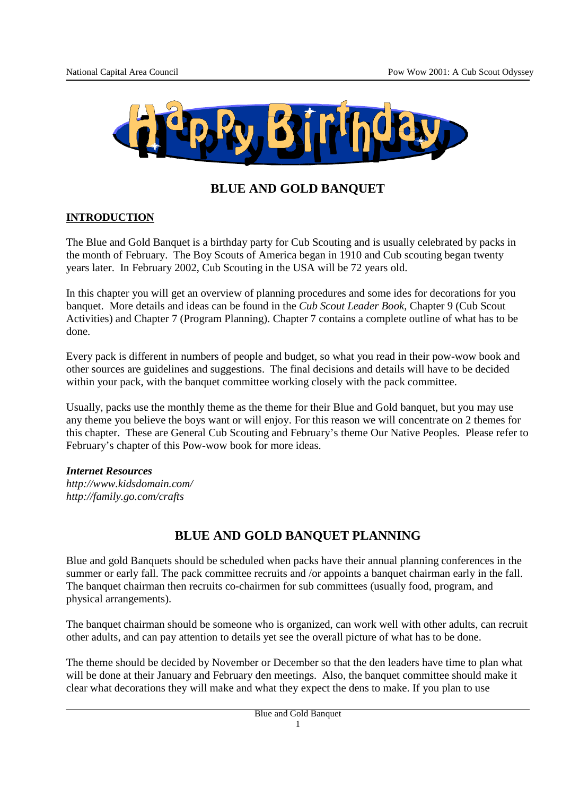

# **BLUE AND GOLD BANQUET**

### **INTRODUCTION**

The Blue and Gold Banquet is a birthday party for Cub Scouting and is usually celebrated by packs in the month of February. The Boy Scouts of America began in 1910 and Cub scouting began twenty years later. In February 2002, Cub Scouting in the USA will be 72 years old.

In this chapter you will get an overview of planning procedures and some ides for decorations for you banquet. More details and ideas can be found in the *Cub Scout Leader Book,* Chapter 9 (Cub Scout Activities) and Chapter 7 (Program Planning). Chapter 7 contains a complete outline of what has to be done.

Every pack is different in numbers of people and budget, so what you read in their pow-wow book and other sources are guidelines and suggestions. The final decisions and details will have to be decided within your pack, with the banquet committee working closely with the pack committee.

Usually, packs use the monthly theme as the theme for their Blue and Gold banquet, but you may use any theme you believe the boys want or will enjoy. For this reason we will concentrate on 2 themes for this chapter. These are General Cub Scouting and February's theme Our Native Peoples. Please refer to February's chapter of this Pow-wow book for more ideas.

#### *Internet Resources*

*http://www.kidsdomain.com/ http://family.go.com/crafts* 

# **BLUE AND GOLD BANQUET PLANNING**

Blue and gold Banquets should be scheduled when packs have their annual planning conferences in the summer or early fall. The pack committee recruits and /or appoints a banquet chairman early in the fall. The banquet chairman then recruits co-chairmen for sub committees (usually food, program, and physical arrangements).

The banquet chairman should be someone who is organized, can work well with other adults, can recruit other adults, and can pay attention to details yet see the overall picture of what has to be done.

The theme should be decided by November or December so that the den leaders have time to plan what will be done at their January and February den meetings. Also, the banquet committee should make it clear what decorations they will make and what they expect the dens to make. If you plan to use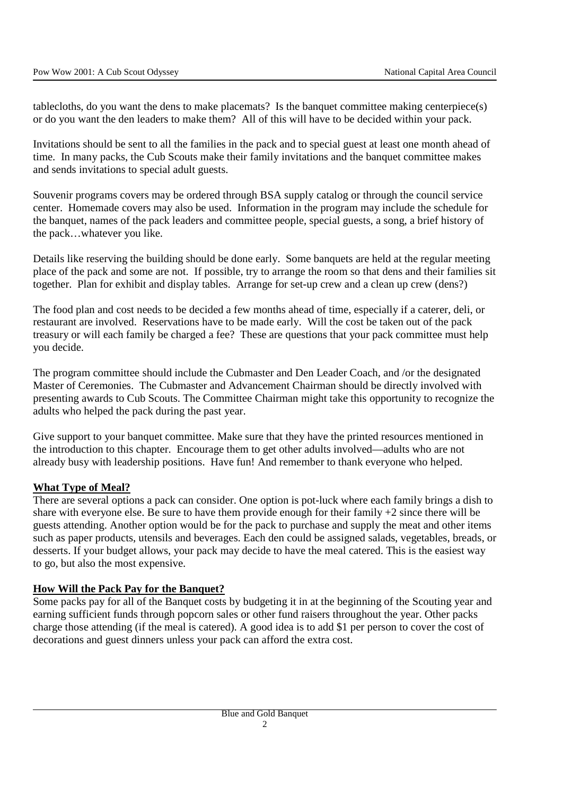tablecloths, do you want the dens to make placemats? Is the banquet committee making centerpiece(s) or do you want the den leaders to make them? All of this will have to be decided within your pack.

Invitations should be sent to all the families in the pack and to special guest at least one month ahead of time. In many packs, the Cub Scouts make their family invitations and the banquet committee makes and sends invitations to special adult guests.

Souvenir programs covers may be ordered through BSA supply catalog or through the council service center. Homemade covers may also be used. Information in the program may include the schedule for the banquet, names of the pack leaders and committee people, special guests, a song, a brief history of the pack…whatever you like.

Details like reserving the building should be done early. Some banquets are held at the regular meeting place of the pack and some are not. If possible, try to arrange the room so that dens and their families sit together. Plan for exhibit and display tables. Arrange for set-up crew and a clean up crew (dens?)

The food plan and cost needs to be decided a few months ahead of time, especially if a caterer, deli, or restaurant are involved. Reservations have to be made early. Will the cost be taken out of the pack treasury or will each family be charged a fee? These are questions that your pack committee must help you decide.

The program committee should include the Cubmaster and Den Leader Coach, and /or the designated Master of Ceremonies. The Cubmaster and Advancement Chairman should be directly involved with presenting awards to Cub Scouts. The Committee Chairman might take this opportunity to recognize the adults who helped the pack during the past year.

Give support to your banquet committee. Make sure that they have the printed resources mentioned in the introduction to this chapter. Encourage them to get other adults involved—adults who are not already busy with leadership positions. Have fun! And remember to thank everyone who helped.

#### **What Type of Meal?**

There are several options a pack can consider. One option is pot-luck where each family brings a dish to share with everyone else. Be sure to have them provide enough for their family +2 since there will be guests attending. Another option would be for the pack to purchase and supply the meat and other items such as paper products, utensils and beverages. Each den could be assigned salads, vegetables, breads, or desserts. If your budget allows, your pack may decide to have the meal catered. This is the easiest way to go, but also the most expensive.

#### **How Will the Pack Pay for the Banquet?**

Some packs pay for all of the Banquet costs by budgeting it in at the beginning of the Scouting year and earning sufficient funds through popcorn sales or other fund raisers throughout the year. Other packs charge those attending (if the meal is catered). A good idea is to add \$1 per person to cover the cost of decorations and guest dinners unless your pack can afford the extra cost.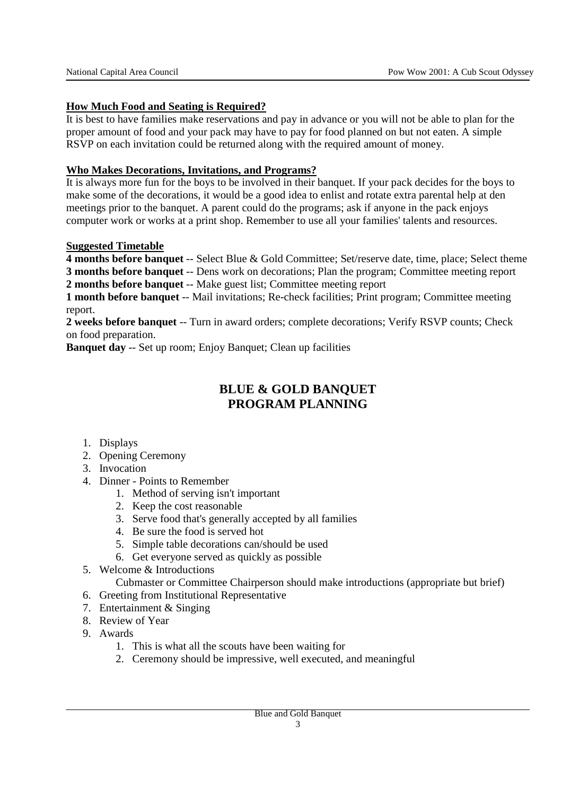### **How Much Food and Seating is Required?**

It is best to have families make reservations and pay in advance or you will not be able to plan for the proper amount of food and your pack may have to pay for food planned on but not eaten. A simple RSVP on each invitation could be returned along with the required amount of money.

#### **Who Makes Decorations, Invitations, and Programs?**

It is always more fun for the boys to be involved in their banquet. If your pack decides for the boys to make some of the decorations, it would be a good idea to enlist and rotate extra parental help at den meetings prior to the banquet. A parent could do the programs; ask if anyone in the pack enjoys computer work or works at a print shop. Remember to use all your families' talents and resources.

#### **Suggested Timetable**

**4 months before banquet** -- Select Blue & Gold Committee; Set/reserve date, time, place; Select theme **3 months before banquet** -- Dens work on decorations; Plan the program; Committee meeting report

**2 months before banquet** -- Make guest list; Committee meeting report

**1 month before banquet** -- Mail invitations; Re-check facilities; Print program; Committee meeting report.

**2 weeks before banquet** -- Turn in award orders; complete decorations; Verify RSVP counts; Check on food preparation.

**Banquet day** -- Set up room; Enjoy Banquet; Clean up facilities

# **BLUE & GOLD BANQUET PROGRAM PLANNING**

- 1. Displays
- 2. Opening Ceremony
- 3. Invocation
- 4. Dinner Points to Remember
	- 1. Method of serving isn't important
	- 2. Keep the cost reasonable
	- 3. Serve food that's generally accepted by all families
	- 4. Be sure the food is served hot
	- 5. Simple table decorations can/should be used
	- 6. Get everyone served as quickly as possible
- 5. Welcome & Introductions

Cubmaster or Committee Chairperson should make introductions (appropriate but brief)

- 6. Greeting from Institutional Representative
- 7. Entertainment & Singing
- 8. Review of Year
- 9. Awards
	- 1. This is what all the scouts have been waiting for
	- 2. Ceremony should be impressive, well executed, and meaningful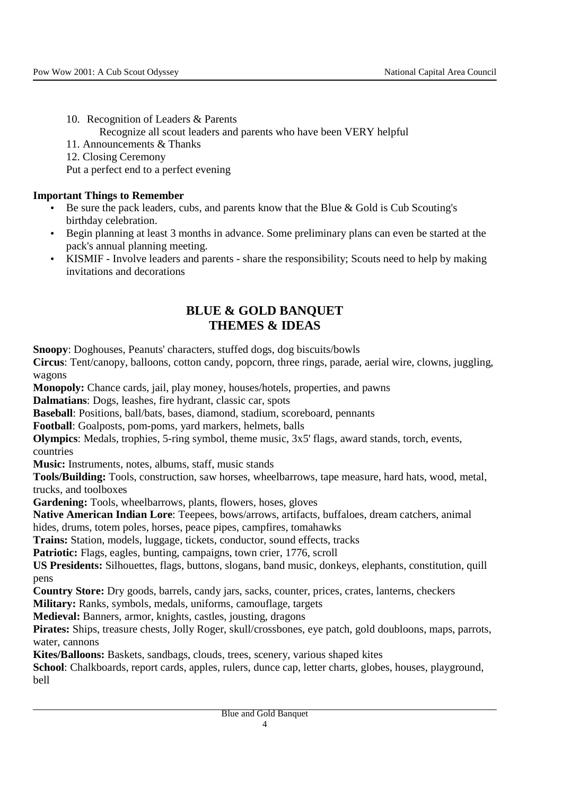10. Recognition of Leaders & Parents Recognize all scout leaders and parents who have been VERY helpful 11. Announcements & Thanks 12. Closing Ceremony

Put a perfect end to a perfect evening

### **Important Things to Remember**

- Be sure the pack leaders, cubs, and parents know that the Blue & Gold is Cub Scouting's birthday celebration.
- Begin planning at least 3 months in advance. Some preliminary plans can even be started at the pack's annual planning meeting.
- KISMIF Involve leaders and parents share the responsibility; Scouts need to help by making invitations and decorations

# **BLUE & GOLD BANQUET THEMES & IDEAS**

**Snoopy**: Doghouses, Peanuts' characters, stuffed dogs, dog biscuits/bowls

**Circus**: Tent/canopy, balloons, cotton candy, popcorn, three rings, parade, aerial wire, clowns, juggling, wagons

**Monopoly:** Chance cards, jail, play money, houses/hotels, properties, and pawns

**Dalmatians**: Dogs, leashes, fire hydrant, classic car, spots

**Baseball**: Positions, ball/bats, bases, diamond, stadium, scoreboard, pennants

**Football**: Goalposts, pom-poms, yard markers, helmets, balls

**Olympics**: Medals, trophies, 5-ring symbol, theme music, 3x5' flags, award stands, torch, events, countries

**Music:** Instruments, notes, albums, staff, music stands

**Tools/Building:** Tools, construction, saw horses, wheelbarrows, tape measure, hard hats, wood, metal, trucks, and toolboxes

**Gardening:** Tools, wheelbarrows, plants, flowers, hoses, gloves

**Native American Indian Lore**: Teepees, bows/arrows, artifacts, buffaloes, dream catchers, animal hides, drums, totem poles, horses, peace pipes, campfires, tomahawks

**Trains:** Station, models, luggage, tickets, conductor, sound effects, tracks

Patriotic: Flags, eagles, bunting, campaigns, town crier, 1776, scroll

**US Presidents:** Silhouettes, flags, buttons, slogans, band music, donkeys, elephants, constitution, quill pens

**Country Store:** Dry goods, barrels, candy jars, sacks, counter, prices, crates, lanterns, checkers

**Military:** Ranks, symbols, medals, uniforms, camouflage, targets

**Medieval:** Banners, armor, knights, castles, jousting, dragons

**Pirates:** Ships, treasure chests, Jolly Roger, skull/crossbones, eye patch, gold doubloons, maps, parrots, water, cannons

**Kites/Balloons:** Baskets, sandbags, clouds, trees, scenery, various shaped kites

**School**: Chalkboards, report cards, apples, rulers, dunce cap, letter charts, globes, houses, playground, bell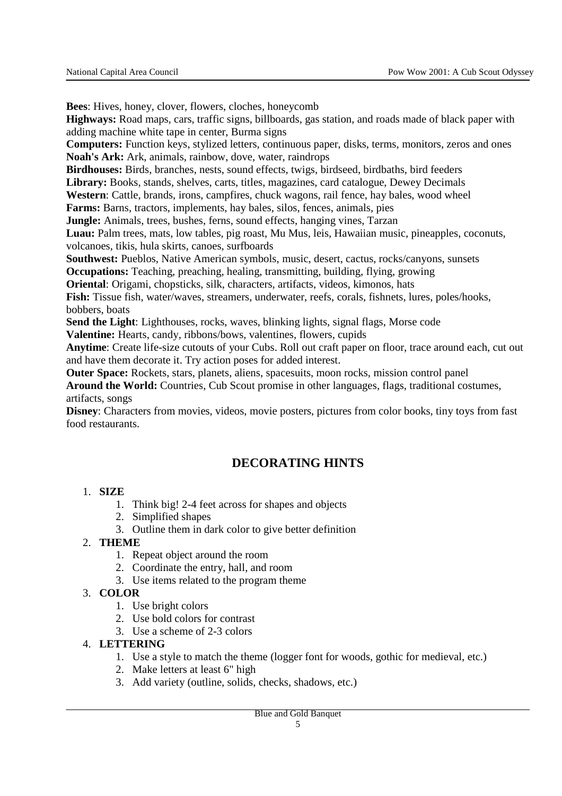**Bees**: Hives, honey, clover, flowers, cloches, honeycomb **Highways:** Road maps, cars, traffic signs, billboards, gas station, and roads made of black paper with adding machine white tape in center, Burma signs **Computers:** Function keys, stylized letters, continuous paper, disks, terms, monitors, zeros and ones **Noah's Ark:** Ark, animals, rainbow, dove, water, raindrops **Birdhouses:** Birds, branches, nests, sound effects, twigs, birdseed, birdbaths, bird feeders **Library:** Books, stands, shelves, carts, titles, magazines, card catalogue, Dewey Decimals **Western**: Cattle, brands, irons, campfires, chuck wagons, rail fence, hay bales, wood wheel **Farms:** Barns, tractors, implements, hay bales, silos, fences, animals, pies **Jungle:** Animals, trees, bushes, ferns, sound effects, hanging vines, Tarzan **Luau:** Palm trees, mats, low tables, pig roast, Mu Mus, leis, Hawaiian music, pineapples, coconuts, volcanoes, tikis, hula skirts, canoes, surfboards **Southwest:** Pueblos, Native American symbols, music, desert, cactus, rocks/canyons, sunsets **Occupations:** Teaching, preaching, healing, transmitting, building, flying, growing **Oriental**: Origami, chopsticks, silk, characters, artifacts, videos, kimonos, hats **Fish:** Tissue fish, water/waves, streamers, underwater, reefs, corals, fishnets, lures, poles/hooks, bobbers, boats **Send the Light**: Lighthouses, rocks, waves, blinking lights, signal flags, Morse code **Valentine:** Hearts, candy, ribbons/bows, valentines, flowers, cupids **Anytime**: Create life-size cutouts of your Cubs. Roll out craft paper on floor, trace around each, cut out and have them decorate it. Try action poses for added interest.

**Outer Space:** Rockets, stars, planets, aliens, spacesuits, moon rocks, mission control panel

**Around the World:** Countries, Cub Scout promise in other languages, flags, traditional costumes, artifacts, songs

**Disney**: Characters from movies, videos, movie posters, pictures from color books, tiny toys from fast food restaurants.

# **DECORATING HINTS**

### 1. **SIZE**

- 1. Think big! 2-4 feet across for shapes and objects
- 2. Simplified shapes
- 3. Outline them in dark color to give better definition

### 2. **THEME**

- 1. Repeat object around the room
- 2. Coordinate the entry, hall, and room
- 3. Use items related to the program theme

### 3. **COLOR**

- 1. Use bright colors
- 2. Use bold colors for contrast
- 3. Use a scheme of 2-3 colors

### 4. **LETTERING**

- 1. Use a style to match the theme (logger font for woods, gothic for medieval, etc.)
- 2. Make letters at least 6" high
- 3. Add variety (outline, solids, checks, shadows, etc.)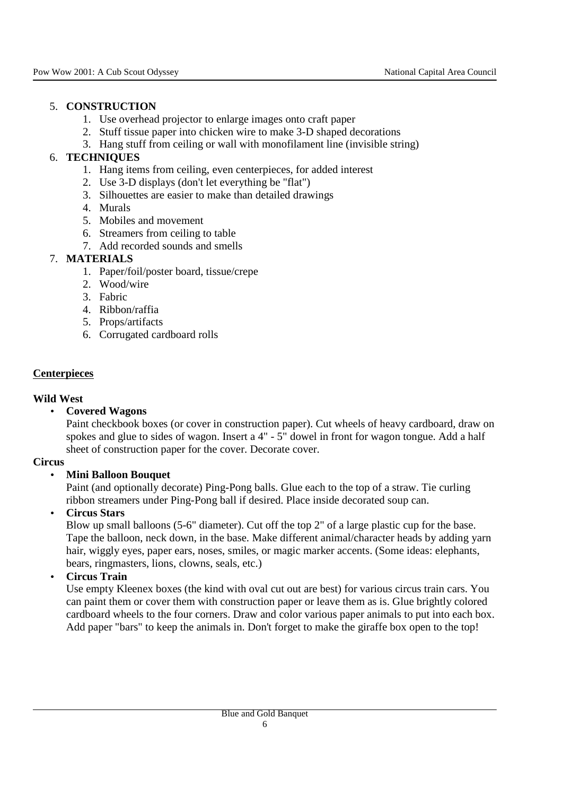### 5. **CONSTRUCTION**

- 1. Use overhead projector to enlarge images onto craft paper
- 2. Stuff tissue paper into chicken wire to make 3-D shaped decorations
- 3. Hang stuff from ceiling or wall with monofilament line (invisible string)

### 6. **TECHNIQUES**

- 1. Hang items from ceiling, even centerpieces, for added interest
- 2. Use 3-D displays (don't let everything be "flat")
- 3. Silhouettes are easier to make than detailed drawings
- 4. Murals
- 5. Mobiles and movement
- 6. Streamers from ceiling to table
- 7. Add recorded sounds and smells

### 7. **MATERIALS**

- 1. Paper/foil/poster board, tissue/crepe
- 2. Wood/wire
- 3. Fabric
- 4. Ribbon/raffia
- 5. Props/artifacts
- 6. Corrugated cardboard rolls

### **Centerpieces**

#### **Wild West**

#### • **Covered Wagons**

Paint checkbook boxes (or cover in construction paper). Cut wheels of heavy cardboard, draw on spokes and glue to sides of wagon. Insert a 4" - 5" dowel in front for wagon tongue. Add a half sheet of construction paper for the cover. Decorate cover.

#### **Circus**

#### • **Mini Balloon Bouquet**

Paint (and optionally decorate) Ping-Pong balls. Glue each to the top of a straw. Tie curling ribbon streamers under Ping-Pong ball if desired. Place inside decorated soup can.

#### • **Circus Stars**

Blow up small balloons (5-6" diameter). Cut off the top 2" of a large plastic cup for the base. Tape the balloon, neck down, in the base. Make different animal/character heads by adding yarn hair, wiggly eyes, paper ears, noses, smiles, or magic marker accents. (Some ideas: elephants, bears, ringmasters, lions, clowns, seals, etc.)

### • **Circus Train**

Use empty Kleenex boxes (the kind with oval cut out are best) for various circus train cars. You can paint them or cover them with construction paper or leave them as is. Glue brightly colored cardboard wheels to the four corners. Draw and color various paper animals to put into each box. Add paper "bars" to keep the animals in. Don't forget to make the giraffe box open to the top!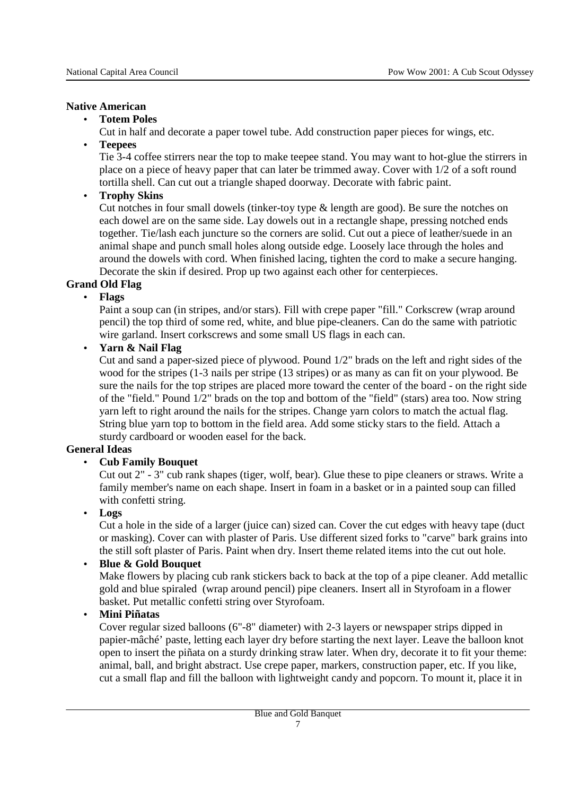### **Native American**

### • **Totem Poles**

Cut in half and decorate a paper towel tube. Add construction paper pieces for wings, etc.

• **Teepees**

Tie 3-4 coffee stirrers near the top to make teepee stand. You may want to hot-glue the stirrers in place on a piece of heavy paper that can later be trimmed away. Cover with 1/2 of a soft round tortilla shell. Can cut out a triangle shaped doorway. Decorate with fabric paint.

• **Trophy Skins**

Cut notches in four small dowels (tinker-toy type & length are good). Be sure the notches on each dowel are on the same side. Lay dowels out in a rectangle shape, pressing notched ends together. Tie/lash each juncture so the corners are solid. Cut out a piece of leather/suede in an animal shape and punch small holes along outside edge. Loosely lace through the holes and around the dowels with cord. When finished lacing, tighten the cord to make a secure hanging. Decorate the skin if desired. Prop up two against each other for centerpieces.

### **Grand Old Flag**

### • **Flags**

Paint a soup can (in stripes, and/or stars). Fill with crepe paper "fill." Corkscrew (wrap around pencil) the top third of some red, white, and blue pipe-cleaners. Can do the same with patriotic wire garland. Insert corkscrews and some small US flags in each can.

• **Yarn & Nail Flag**

Cut and sand a paper-sized piece of plywood. Pound 1/2" brads on the left and right sides of the wood for the stripes (1-3 nails per stripe (13 stripes) or as many as can fit on your plywood. Be sure the nails for the top stripes are placed more toward the center of the board - on the right side of the "field." Pound 1/2" brads on the top and bottom of the "field" (stars) area too. Now string yarn left to right around the nails for the stripes. Change yarn colors to match the actual flag. String blue yarn top to bottom in the field area. Add some sticky stars to the field. Attach a sturdy cardboard or wooden easel for the back.

### **General Ideas**

### • **Cub Family Bouquet**

Cut out 2" - 3" cub rank shapes (tiger, wolf, bear). Glue these to pipe cleaners or straws. Write a family member's name on each shape. Insert in foam in a basket or in a painted soup can filled with confetti string.

• **Logs**

Cut a hole in the side of a larger (juice can) sized can. Cover the cut edges with heavy tape (duct or masking). Cover can with plaster of Paris. Use different sized forks to "carve" bark grains into the still soft plaster of Paris. Paint when dry. Insert theme related items into the cut out hole.

### • **Blue & Gold Bouquet**

Make flowers by placing cub rank stickers back to back at the top of a pipe cleaner. Add metallic gold and blue spiraled (wrap around pencil) pipe cleaners. Insert all in Styrofoam in a flower basket. Put metallic confetti string over Styrofoam.

• **Mini Piñatas**

Cover regular sized balloons (6"-8" diameter) with 2-3 layers or newspaper strips dipped in papier-mâché' paste, letting each layer dry before starting the next layer. Leave the balloon knot open to insert the piñata on a sturdy drinking straw later. When dry, decorate it to fit your theme: animal, ball, and bright abstract. Use crepe paper, markers, construction paper, etc. If you like, cut a small flap and fill the balloon with lightweight candy and popcorn. To mount it, place it in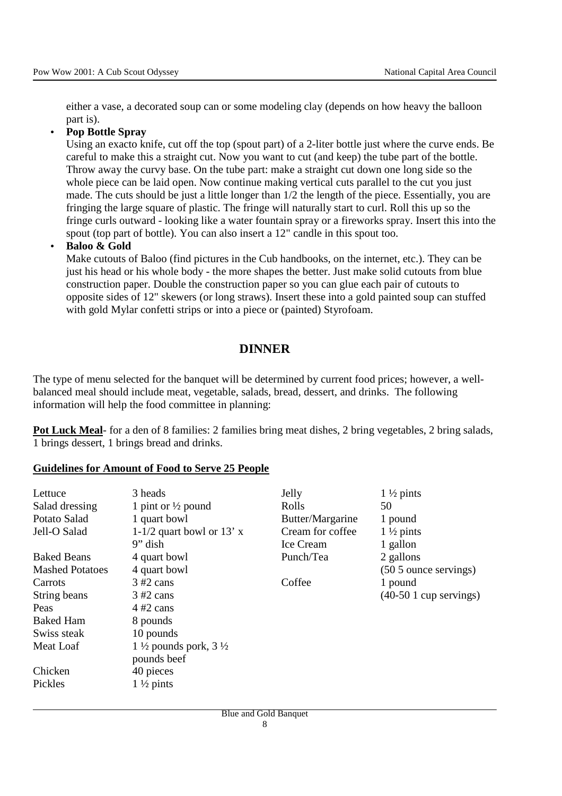either a vase, a decorated soup can or some modeling clay (depends on how heavy the balloon part is).

#### • **Pop Bottle Spray**

Using an exacto knife, cut off the top (spout part) of a 2-liter bottle just where the curve ends. Be careful to make this a straight cut. Now you want to cut (and keep) the tube part of the bottle. Throw away the curvy base. On the tube part: make a straight cut down one long side so the whole piece can be laid open. Now continue making vertical cuts parallel to the cut you just made. The cuts should be just a little longer than 1/2 the length of the piece. Essentially, you are fringing the large square of plastic. The fringe will naturally start to curl. Roll this up so the fringe curls outward - looking like a water fountain spray or a fireworks spray. Insert this into the spout (top part of bottle). You can also insert a 12" candle in this spout too.

### • **Baloo & Gold**

Make cutouts of Baloo (find pictures in the Cub handbooks, on the internet, etc.). They can be just his head or his whole body - the more shapes the better. Just make solid cutouts from blue construction paper. Double the construction paper so you can glue each pair of cutouts to opposite sides of 12" skewers (or long straws). Insert these into a gold painted soup can stuffed with gold Mylar confetti strips or into a piece or (painted) Styrofoam.

# **DINNER**

The type of menu selected for the banquet will be determined by current food prices; however, a wellbalanced meal should include meat, vegetable, salads, bread, dessert, and drinks. The following information will help the food committee in planning:

**Pot Luck Meal**- for a den of 8 families: 2 families bring meat dishes, 2 bring vegetables, 2 bring salads, 1 brings dessert, 1 brings bread and drinks.

#### **Guidelines for Amount of Food to Serve 25 People**

| Lettuce<br>Salad dressing<br>Potato Salad<br>Jell-O Salad | 3 heads<br>1 pint or $\frac{1}{2}$ pound<br>1 quart bowl<br>1-1/2 quart bowl or 13' $x$<br>$9"$ dish | Jelly<br>Rolls<br>Butter/Margarine<br>Cream for coffee<br>Ice Cream | $1\frac{1}{2}$ pints<br>50<br>1 pound<br>$1\frac{1}{2}$ pints<br>1 gallon |
|-----------------------------------------------------------|------------------------------------------------------------------------------------------------------|---------------------------------------------------------------------|---------------------------------------------------------------------------|
| <b>Baked Beans</b>                                        | 4 quart bowl                                                                                         | Punch/Tea                                                           | 2 gallons                                                                 |
| <b>Mashed Potatoes</b>                                    | 4 quart bowl                                                                                         |                                                                     | $(505$ ounce servings)                                                    |
| Carrots                                                   | $3 \#2$ cans                                                                                         | Coffee                                                              | 1 pound                                                                   |
| String beans                                              | $3 \#2$ cans                                                                                         |                                                                     | $(40-501$ cup servings)                                                   |
| Peas                                                      | $4\#2$ cans                                                                                          |                                                                     |                                                                           |
| <b>Baked Ham</b>                                          | 8 pounds                                                                                             |                                                                     |                                                                           |
| Swiss steak                                               | 10 pounds                                                                                            |                                                                     |                                                                           |
| Meat Loaf                                                 | 1 $\frac{1}{2}$ pounds pork, 3 $\frac{1}{2}$<br>pounds beef                                          |                                                                     |                                                                           |
| Chicken                                                   | 40 pieces                                                                                            |                                                                     |                                                                           |
| Pickles                                                   | $1\frac{1}{2}$ pints                                                                                 |                                                                     |                                                                           |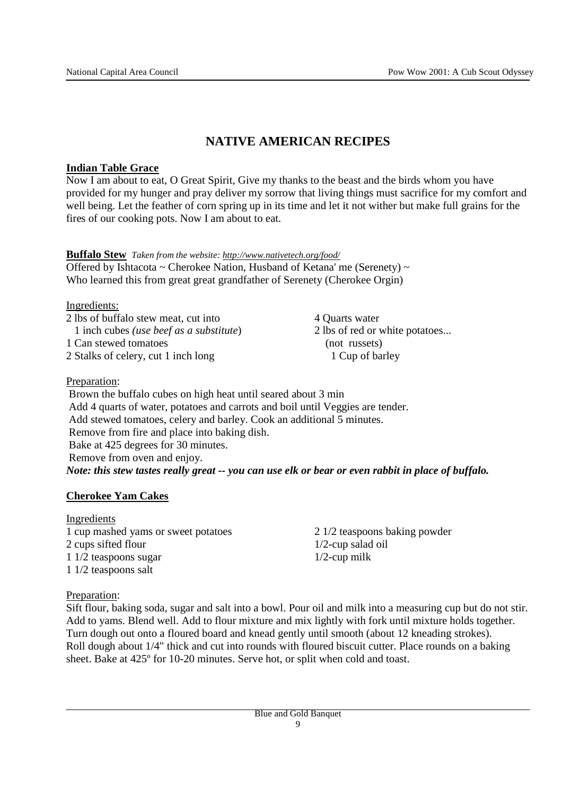# **NATIVE AMERICAN RECIPES**

### **Indian Table Grace**

Now I am about to eat, O Great Spirit, Give my thanks to the beast and the birds whom you have provided for my hunger and pray deliver my sorrow that living things must sacrifice for my comfort and well being. Let the feather of corn spring up in its time and let it not wither but make full grains for the fires of our cooking pots. Now I am about to eat.

| <b>Buffalo Stew</b> Taken from the website: http://www.nativetech.org/food/ |  |
|-----------------------------------------------------------------------------|--|
| Offered by Ishtacota ~ Cherokee Nation, Husband of Ketana' me (Serenety) ~  |  |
| Who learned this from great great grandfather of Serenety (Cherokee Orgin)  |  |

Ingredients:

| 4 Quarts water                 |  |
|--------------------------------|--|
| 2 lbs of red or white potatoes |  |
| (not russets)                  |  |
| 1 Cup of barley                |  |
|                                |  |

Preparation:

 Brown the buffalo cubes on high heat until seared about 3 min Add 4 quarts of water, potatoes and carrots and boil until Veggies are tender. Add stewed tomatoes, celery and barley. Cook an additional 5 minutes. Remove from fire and place into baking dish. Bake at 425 degrees for 30 minutes. Remove from oven and enjoy. *Note: this stew tastes really great -- you can use elk or bear or even rabbit in place of buffalo.*

### **Cherokee Yam Cakes**

#### Ingredients

1 cup mashed yams or sweet potatoes 2 cups sifted flour 1 1/2 teaspoons sugar 1 1/2 teaspoons salt

2 1/2 teaspoons baking powder 1/2-cup salad oil 1/2-cup milk

### Preparation:

Sift flour, baking soda, sugar and salt into a bowl. Pour oil and milk into a measuring cup but do not stir. Add to yams. Blend well. Add to flour mixture and mix lightly with fork until mixture holds together. Turn dough out onto a floured board and knead gently until smooth (about 12 kneading strokes). Roll dough about 1/4" thick and cut into rounds with floured biscuit cutter. Place rounds on a baking sheet. Bake at 425º for 10-20 minutes. Serve hot, or split when cold and toast.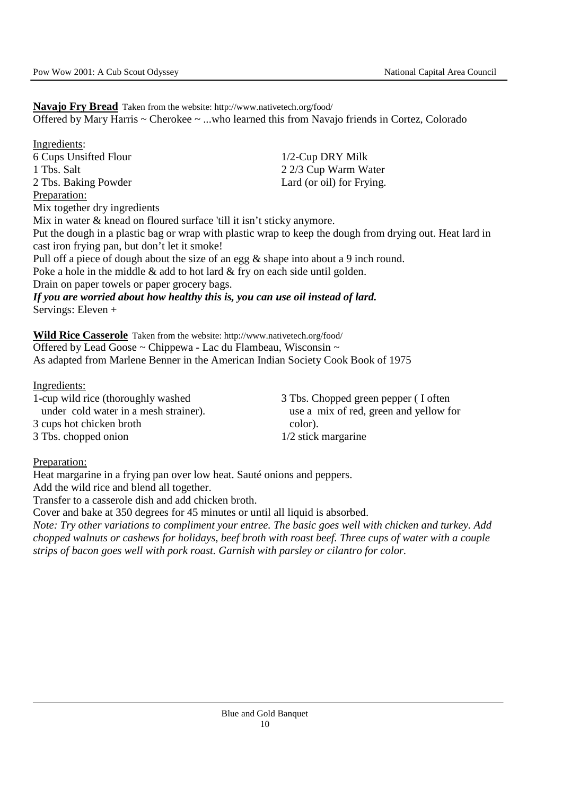**Navajo Fry Bread** Taken from the website: http://www.nativetech.org/food/ Offered by Mary Harris ~ Cherokee ~ ...who learned this from Navajo friends in Cortez, Colorado

Ingredients: 6 Cups Unsifted Flour 1 Tbs. Salt 2 Tbs. Baking Powder 1/2-Cup DRY Milk 2 2/3 Cup Warm Water Lard (or oil) for Frying. Preparation: Mix together dry ingredients Mix in water & knead on floured surface 'till it isn't sticky anymore. Put the dough in a plastic bag or wrap with plastic wrap to keep the dough from drying out. Heat lard in cast iron frying pan, but don't let it smoke! Pull off a piece of dough about the size of an egg & shape into about a 9 inch round. Poke a hole in the middle & add to hot lard & fry on each side until golden. Drain on paper towels or paper grocery bags. *If you are worried about how healthy this is, you can use oil instead of lard.*  Servings: Eleven +

**Wild Rice Casserole** Taken from the website: http://www.nativetech.org/food/ Offered by Lead Goose ~ Chippewa - Lac du Flambeau, Wisconsin ~ As adapted from Marlene Benner in the American Indian Society Cook Book of 1975

Ingredients:

1-cup wild rice (thoroughly washed under cold water in a mesh strainer). 3 cups hot chicken broth 3 Tbs. chopped onion

3 Tbs. Chopped green pepper ( I often use a mix of red, green and yellow for color). 1/2 stick margarine

Preparation:

Heat margarine in a frying pan over low heat. Sauté onions and peppers.

Add the wild rice and blend all together.

Transfer to a casserole dish and add chicken broth.

Cover and bake at 350 degrees for 45 minutes or until all liquid is absorbed.

*Note: Try other variations to compliment your entree. The basic goes well with chicken and turkey. Add chopped walnuts or cashews for holidays, beef broth with roast beef. Three cups of water with a couple strips of bacon goes well with pork roast. Garnish with parsley or cilantro for color.*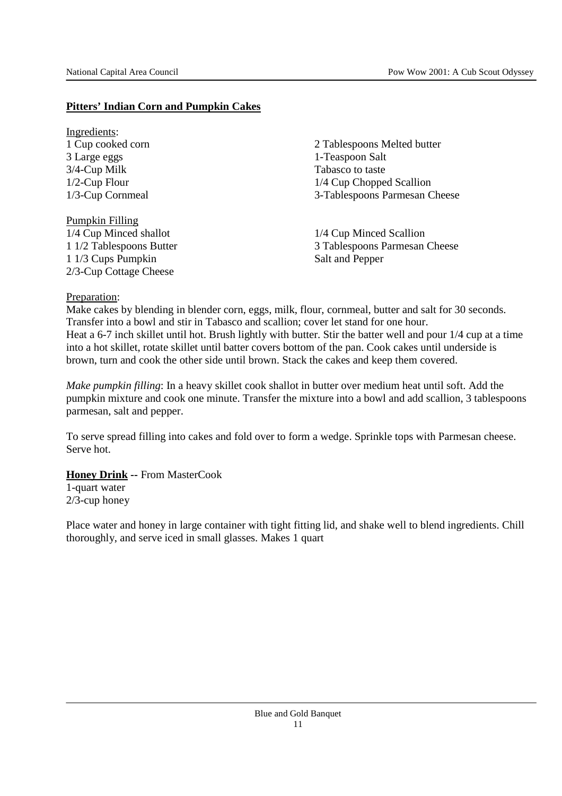### **Pitters' Indian Corn and Pumpkin Cakes**

Ingredients: 1 Cup cooked corn 3 Large eggs 3/4-Cup Milk 1/2-Cup Flour 1/3-Cup Cornmeal

Pumpkin Filling 1/4 Cup Minced shallot 1 1/2 Tablespoons Butter 1 1/3 Cups Pumpkin 2/3-Cup Cottage Cheese

2 Tablespoons Melted butter 1-Teaspoon Salt Tabasco to taste 1/4 Cup Chopped Scallion 3-Tablespoons Parmesan Cheese

1/4 Cup Minced Scallion 3 Tablespoons Parmesan Cheese Salt and Pepper

### Preparation:

Make cakes by blending in blender corn, eggs, milk, flour, cornmeal, butter and salt for 30 seconds. Transfer into a bowl and stir in Tabasco and scallion; cover let stand for one hour. Heat a 6-7 inch skillet until hot. Brush lightly with butter. Stir the batter well and pour 1/4 cup at a time into a hot skillet, rotate skillet until batter covers bottom of the pan. Cook cakes until underside is brown, turn and cook the other side until brown. Stack the cakes and keep them covered.

*Make pumpkin filling*: In a heavy skillet cook shallot in butter over medium heat until soft. Add the pumpkin mixture and cook one minute. Transfer the mixture into a bowl and add scallion, 3 tablespoons parmesan, salt and pepper.

To serve spread filling into cakes and fold over to form a wedge. Sprinkle tops with Parmesan cheese. Serve hot.

#### **Honey Drink --** From MasterCook

1-quart water 2/3-cup honey

Place water and honey in large container with tight fitting lid, and shake well to blend ingredients. Chill thoroughly, and serve iced in small glasses. Makes 1 quart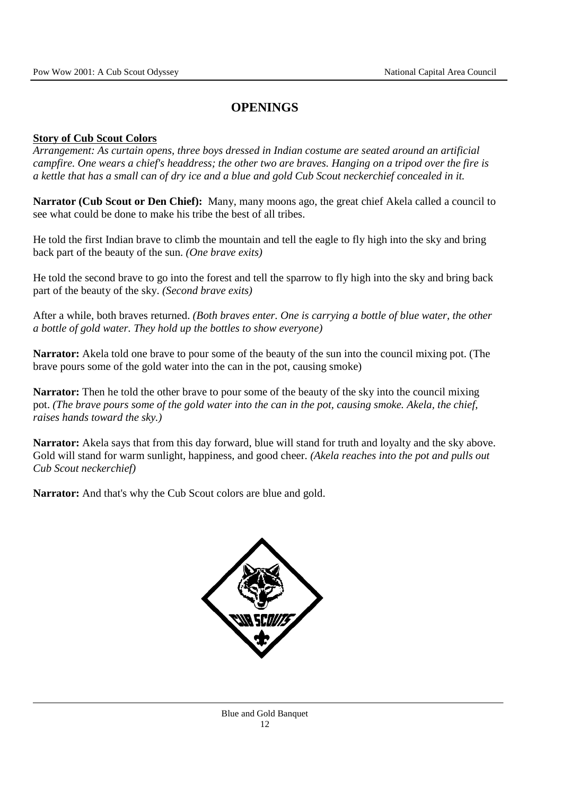# **OPENINGS**

### **Story of Cub Scout Colors**

*Arrangement: As curtain opens, three boys dressed in Indian costume are seated around an artificial campfire. One wears a chief's headdress; the other two are braves. Hanging on a tripod over the fire is a kettle that has a small can of dry ice and a blue and gold Cub Scout neckerchief concealed in it.* 

**Narrator (Cub Scout or Den Chief):** Many, many moons ago, the great chief Akela called a council to see what could be done to make his tribe the best of all tribes.

He told the first Indian brave to climb the mountain and tell the eagle to fly high into the sky and bring back part of the beauty of the sun. *(One brave exits)*

He told the second brave to go into the forest and tell the sparrow to fly high into the sky and bring back part of the beauty of the sky. *(Second brave exits)*

After a while, both braves returned. *(Both braves enter. One is carrying a bottle of blue water, the other a bottle of gold water. They hold up the bottles to show everyone)*

**Narrator:** Akela told one brave to pour some of the beauty of the sun into the council mixing pot. (The brave pours some of the gold water into the can in the pot, causing smoke)

**Narrator:** Then he told the other brave to pour some of the beauty of the sky into the council mixing pot. *(The brave pours some of the gold water into the can in the pot, causing smoke. Akela, the chief, raises hands toward the sky.)*

**Narrator:** Akela says that from this day forward, blue will stand for truth and loyalty and the sky above. Gold will stand for warm sunlight, happiness, and good cheer. *(Akela reaches into the pot and pulls out Cub Scout neckerchief)* 

**Narrator:** And that's why the Cub Scout colors are blue and gold.

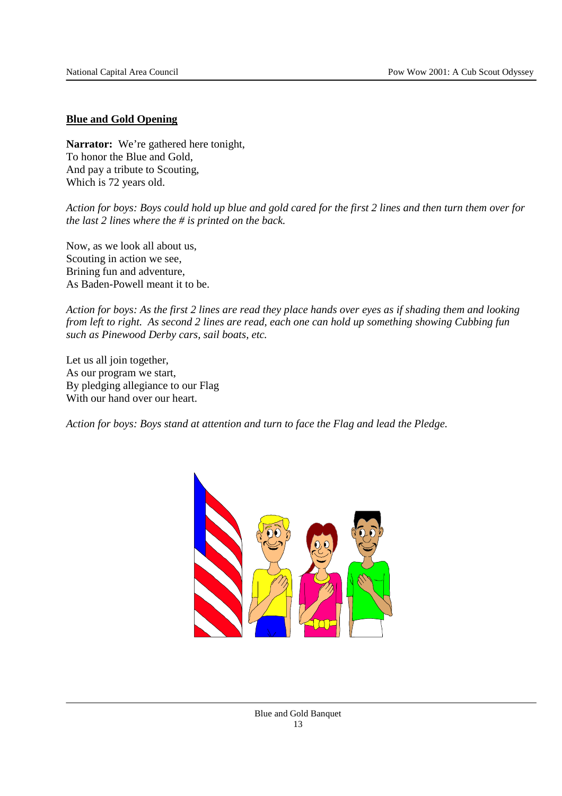#### **Blue and Gold Opening**

**Narrator:** We're gathered here tonight, To honor the Blue and Gold, And pay a tribute to Scouting, Which is 72 years old.

*Action for boys: Boys could hold up blue and gold cared for the first 2 lines and then turn them over for the last 2 lines where the # is printed on the back.* 

Now, as we look all about us, Scouting in action we see, Brining fun and adventure, As Baden-Powell meant it to be.

*Action for boys: As the first 2 lines are read they place hands over eyes as if shading them and looking from left to right. As second 2 lines are read, each one can hold up something showing Cubbing fun such as Pinewood Derby cars, sail boats, etc.* 

Let us all join together, As our program we start, By pledging allegiance to our Flag With our hand over our heart.

*Action for boys: Boys stand at attention and turn to face the Flag and lead the Pledge.*

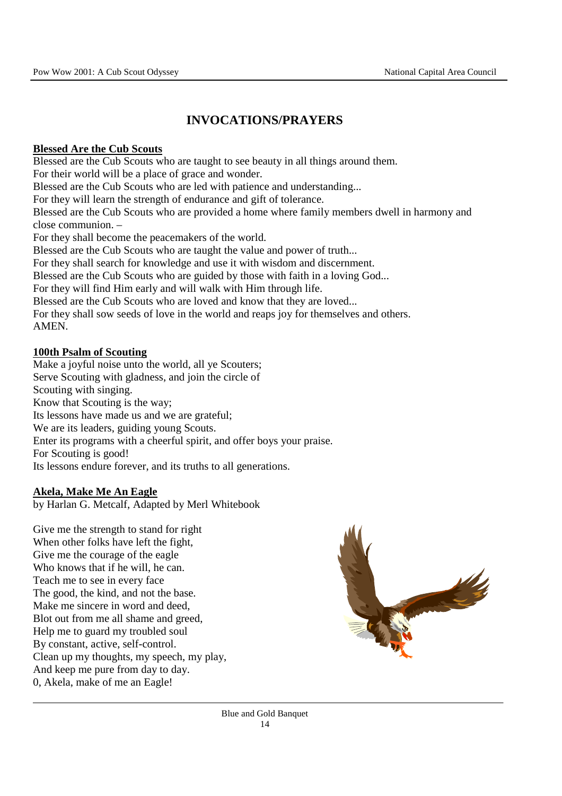# **INVOCATIONS/PRAYERS**

### **Blessed Are the Cub Scouts**

Blessed are the Cub Scouts who are taught to see beauty in all things around them. For their world will be a place of grace and wonder. Blessed are the Cub Scouts who are led with patience and understanding... For they will learn the strength of endurance and gift of tolerance. Blessed are the Cub Scouts who are provided a home where family members dwell in harmony and close communion. – For they shall become the peacemakers of the world. Blessed are the Cub Scouts who are taught the value and power of truth... For they shall search for knowledge and use it with wisdom and discernment. Blessed are the Cub Scouts who are guided by those with faith in a loving God... For they will find Him early and will walk with Him through life. Blessed are the Cub Scouts who are loved and know that they are loved... For they shall sow seeds of love in the world and reaps joy for themselves and others. AMEN.

### **100th Psalm of Scouting**

Make a joyful noise unto the world, all ye Scouters; Serve Scouting with gladness, and join the circle of Scouting with singing. Know that Scouting is the way; Its lessons have made us and we are grateful; We are its leaders, guiding young Scouts. Enter its programs with a cheerful spirit, and offer boys your praise. For Scouting is good! Its lessons endure forever, and its truths to all generations.

#### **Akela, Make Me An Eagle**

by Harlan G. Metcalf, Adapted by Merl Whitebook

Give me the strength to stand for right When other folks have left the fight, Give me the courage of the eagle Who knows that if he will, he can. Teach me to see in every face The good, the kind, and not the base. Make me sincere in word and deed, Blot out from me all shame and greed, Help me to guard my troubled soul By constant, active, self-control. Clean up my thoughts, my speech, my play, And keep me pure from day to day. 0, Akela, make of me an Eagle!

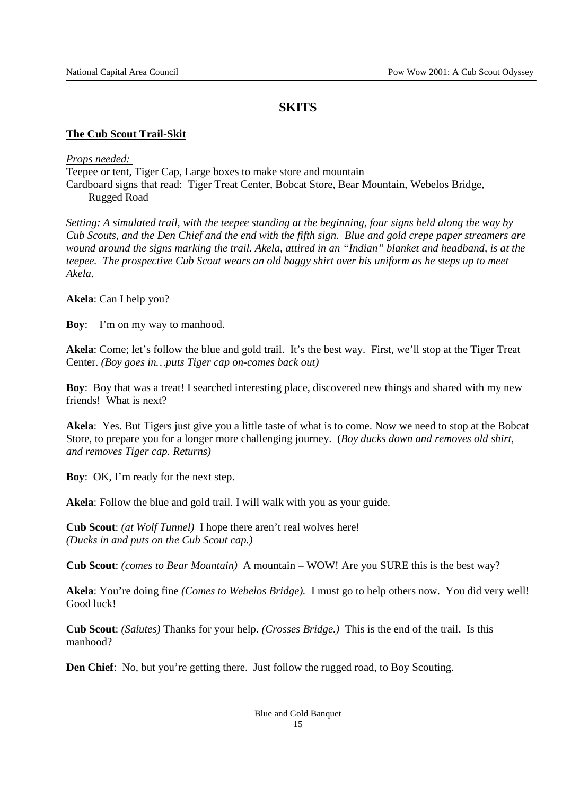### **SKITS**

### **The Cub Scout Trail-Skit**

*Props needed:*  Teepee or tent, Tiger Cap, Large boxes to make store and mountain Cardboard signs that read: Tiger Treat Center, Bobcat Store, Bear Mountain, Webelos Bridge, Rugged Road

*Setting: A simulated trail, with the teepee standing at the beginning, four signs held along the way by Cub Scouts, and the Den Chief and the end with the fifth sign. Blue and gold crepe paper streamers are wound around the signs marking the trail. Akela, attired in an "Indian" blanket and headband, is at the teepee. The prospective Cub Scout wears an old baggy shirt over his uniform as he steps up to meet Akela.* 

**Akela**: Can I help you?

**Boy**: I'm on my way to manhood.

**Akela**: Come; let's follow the blue and gold trail. It's the best way. First, we'll stop at the Tiger Treat Center. *(Boy goes in…puts Tiger cap on-comes back out)* 

**Boy**: Boy that was a treat! I searched interesting place, discovered new things and shared with my new friends! What is next?

**Akela**: Yes. But Tigers just give you a little taste of what is to come. Now we need to stop at the Bobcat Store, to prepare you for a longer more challenging journey. (*Boy ducks down and removes old shirt, and removes Tiger cap. Returns)* 

**Boy**: OK, I'm ready for the next step.

**Akela**: Follow the blue and gold trail. I will walk with you as your guide.

**Cub Scout**: *(at Wolf Tunnel)* I hope there aren't real wolves here! *(Ducks in and puts on the Cub Scout cap.)* 

**Cub Scout**: *(comes to Bear Mountain)* A mountain – WOW! Are you SURE this is the best way?

**Akela**: You're doing fine *(Comes to Webelos Bridge).* I must go to help others now. You did very well! Good luck!

**Cub Scout**: *(Salutes)* Thanks for your help. *(Crosses Bridge.)* This is the end of the trail. Is this manhood?

**Den Chief**: No, but you're getting there. Just follow the rugged road, to Boy Scouting.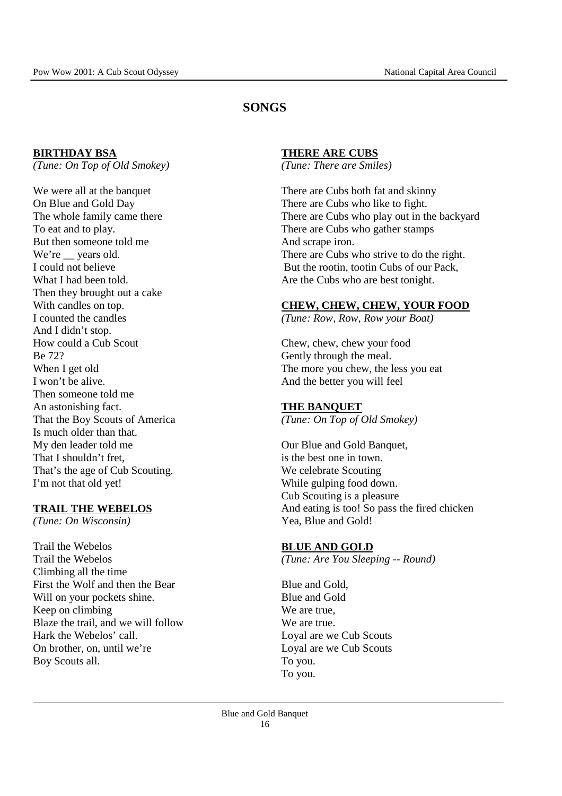### **SONGS**

#### **BIRTHDAY BSA**

*(Tune: On Top of Old Smokey)* 

We were all at the banquet On Blue and Gold Day The whole family came there To eat and to play. But then someone told me We're vears old. I could not believe What I had been told. Then they brought out a cake With candles on top. I counted the candles And I didn't stop. How could a Cub Scout Be 72? When I get old I won't be alive. Then someone told me An astonishing fact. That the Boy Scouts of America Is much older than that. My den leader told me That I shouldn't fret, That's the age of Cub Scouting. I'm not that old yet!

#### **TRAIL THE WEBELOS**

*(Tune: On Wisconsin)* 

Trail the Webelos Trail the Webelos Climbing all the time First the Wolf and then the Bear Will on your pockets shine. Keep on climbing Blaze the trail, and we will follow Hark the Webelos' call. On brother, on, until we're Boy Scouts all.

#### **THERE ARE CUBS**

*(Tune: There are Smiles)* 

There are Cubs both fat and skinny There are Cubs who like to fight. There are Cubs who play out in the backyard There are Cubs who gather stamps And scrape iron. There are Cubs who strive to do the right. But the rootin, tootin Cubs of our Pack, Are the Cubs who are best tonight.

#### **CHEW, CHEW, CHEW, YOUR FOOD**

*(Tune: Row, Row, Row your Boat)* 

Chew, chew, chew your food Gently through the meal. The more you chew, the less you eat And the better you will feel

#### **THE BANQUET**

*(Tune: On Top of Old Smokey)* 

Our Blue and Gold Banquet, is the best one in town. We celebrate Scouting While gulping food down. Cub Scouting is a pleasure And eating is too! So pass the fired chicken Yea, Blue and Gold!

#### **BLUE AND GOLD**

*(Tune: Are You Sleeping -- Round)* 

Blue and Gold, Blue and Gold We are true, We are true. Loyal are we Cub Scouts Loyal are we Cub Scouts To you. To you.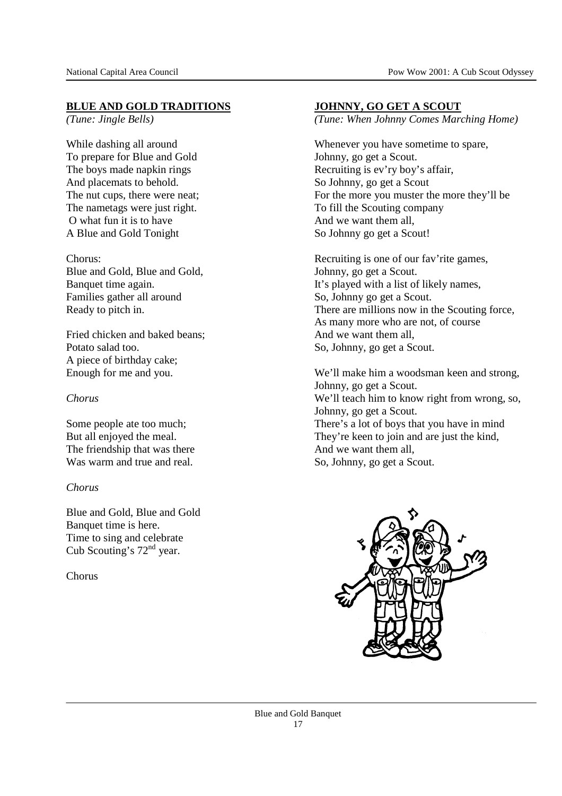### **BLUE AND GOLD TRADITIONS**

*(Tune: Jingle Bells)* 

While dashing all around To prepare for Blue and Gold The boys made napkin rings And placemats to behold. The nut cups, there were neat; The nametags were just right. O what fun it is to have A Blue and Gold Tonight

Chorus: Blue and Gold, Blue and Gold, Banquet time again. Families gather all around Ready to pitch in.

Fried chicken and baked beans; Potato salad too. A piece of birthday cake; Enough for me and you.

#### *Chorus*

Some people ate too much; But all enjoyed the meal. The friendship that was there Was warm and true and real.

#### *Chorus*

Blue and Gold, Blue and Gold Banquet time is here. Time to sing and celebrate Cub Scouting's  $72<sup>nd</sup>$  year.

Chorus

#### **JOHNNY, GO GET A SCOUT**

*(Tune: When Johnny Comes Marching Home)* 

Whenever you have sometime to spare, Johnny, go get a Scout. Recruiting is ev'ry boy's affair, So Johnny, go get a Scout For the more you muster the more they'll be To fill the Scouting company And we want them all, So Johnny go get a Scout!

Recruiting is one of our fav'rite games, Johnny, go get a Scout. It's played with a list of likely names, So, Johnny go get a Scout. There are millions now in the Scouting force, As many more who are not, of course And we want them all, So, Johnny, go get a Scout.

We'll make him a woodsman keen and strong, Johnny, go get a Scout. We'll teach him to know right from wrong, so, Johnny, go get a Scout. There's a lot of boys that you have in mind They're keen to join and are just the kind, And we want them all, So, Johnny, go get a Scout.

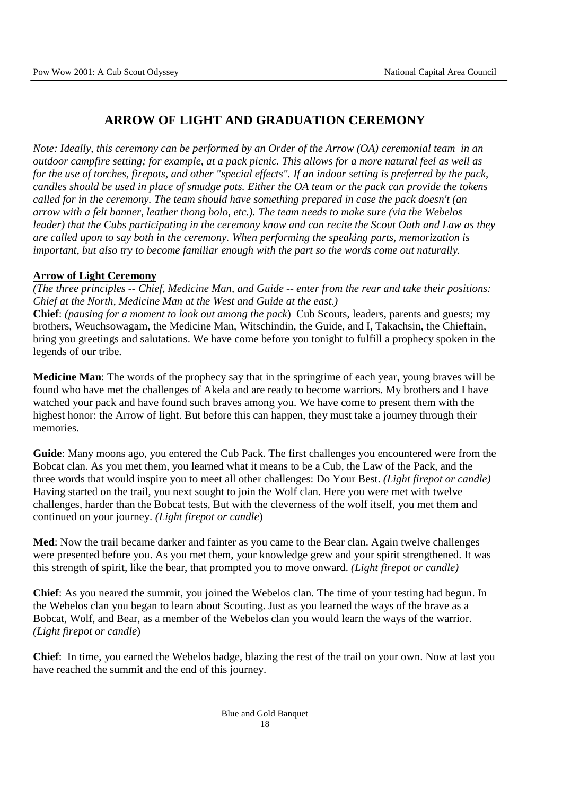# **ARROW OF LIGHT AND GRADUATION CEREMONY**

*Note: Ideally, this ceremony can be performed by an Order of the Arrow (OA) ceremonial team in an outdoor campfire setting; for example, at a pack picnic. This allows for a more natural feel as well as for the use of torches, firepots, and other "special effects". If an indoor setting is preferred by the pack, candles should be used in place of smudge pots. Either the OA team or the pack can provide the tokens called for in the ceremony. The team should have something prepared in case the pack doesn't (an arrow with a felt banner, leather thong bolo, etc.). The team needs to make sure (via the Webelos leader) that the Cubs participating in the ceremony know and can recite the Scout Oath and Law as they are called upon to say both in the ceremony. When performing the speaking parts, memorization is important, but also try to become familiar enough with the part so the words come out naturally.* 

### **Arrow of Light Ceremony**

*(The three principles -- Chief, Medicine Man, and Guide -- enter from the rear and take their positions: Chief at the North, Medicine Man at the West and Guide at the east.)* 

**Chief**: *(pausing for a moment to look out among the pack*) Cub Scouts, leaders, parents and guests; my brothers, Weuchsowagam, the Medicine Man, Witschindin, the Guide, and I, Takachsin, the Chieftain, bring you greetings and salutations. We have come before you tonight to fulfill a prophecy spoken in the legends of our tribe.

**Medicine Man**: The words of the prophecy say that in the springtime of each year, young braves will be found who have met the challenges of Akela and are ready to become warriors. My brothers and I have watched your pack and have found such braves among you. We have come to present them with the highest honor: the Arrow of light. But before this can happen, they must take a journey through their memories.

**Guide**: Many moons ago, you entered the Cub Pack. The first challenges you encountered were from the Bobcat clan. As you met them, you learned what it means to be a Cub, the Law of the Pack, and the three words that would inspire you to meet all other challenges: Do Your Best. *(Light firepot or candle)* Having started on the trail, you next sought to join the Wolf clan. Here you were met with twelve challenges, harder than the Bobcat tests, But with the cleverness of the wolf itself, you met them and continued on your journey. *(Light firepot or candle*)

**Med**: Now the trail became darker and fainter as you came to the Bear clan. Again twelve challenges were presented before you. As you met them, your knowledge grew and your spirit strengthened. It was this strength of spirit, like the bear, that prompted you to move onward. *(Light firepot or candle)* 

**Chief**: As you neared the summit, you joined the Webelos clan. The time of your testing had begun. In the Webelos clan you began to learn about Scouting. Just as you learned the ways of the brave as a Bobcat, Wolf, and Bear, as a member of the Webelos clan you would learn the ways of the warrior. *(Light firepot or candle*)

**Chief**: In time, you earned the Webelos badge, blazing the rest of the trail on your own. Now at last you have reached the summit and the end of this journey.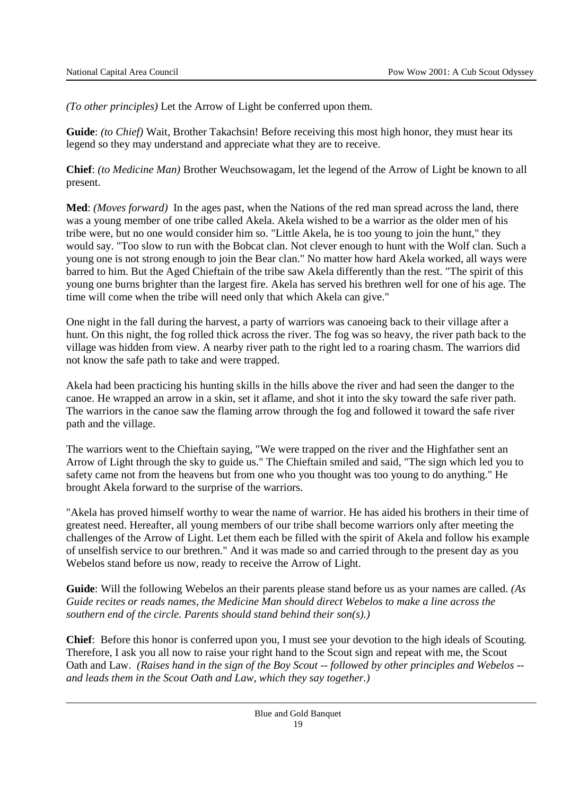*(To other principles)* Let the Arrow of Light be conferred upon them.

**Guide**: *(to Chief)* Wait, Brother Takachsin! Before receiving this most high honor, they must hear its legend so they may understand and appreciate what they are to receive.

**Chief**: *(to Medicine Man)* Brother Weuchsowagam, let the legend of the Arrow of Light be known to all present.

**Med**: *(Moves forward)* In the ages past, when the Nations of the red man spread across the land, there was a young member of one tribe called Akela. Akela wished to be a warrior as the older men of his tribe were, but no one would consider him so. "Little Akela, he is too young to join the hunt," they would say. "Too slow to run with the Bobcat clan. Not clever enough to hunt with the Wolf clan. Such a young one is not strong enough to join the Bear clan." No matter how hard Akela worked, all ways were barred to him. But the Aged Chieftain of the tribe saw Akela differently than the rest. "The spirit of this young one burns brighter than the largest fire. Akela has served his brethren well for one of his age. The time will come when the tribe will need only that which Akela can give."

One night in the fall during the harvest, a party of warriors was canoeing back to their village after a hunt. On this night, the fog rolled thick across the river. The fog was so heavy, the river path back to the village was hidden from view. A nearby river path to the right led to a roaring chasm. The warriors did not know the safe path to take and were trapped.

Akela had been practicing his hunting skills in the hills above the river and had seen the danger to the canoe. He wrapped an arrow in a skin, set it aflame, and shot it into the sky toward the safe river path. The warriors in the canoe saw the flaming arrow through the fog and followed it toward the safe river path and the village.

The warriors went to the Chieftain saying, "We were trapped on the river and the Highfather sent an Arrow of Light through the sky to guide us." The Chieftain smiled and said, "The sign which led you to safety came not from the heavens but from one who you thought was too young to do anything." He brought Akela forward to the surprise of the warriors.

"Akela has proved himself worthy to wear the name of warrior. He has aided his brothers in their time of greatest need. Hereafter, all young members of our tribe shall become warriors only after meeting the challenges of the Arrow of Light. Let them each be filled with the spirit of Akela and follow his example of unselfish service to our brethren." And it was made so and carried through to the present day as you Webelos stand before us now, ready to receive the Arrow of Light.

**Guide**: Will the following Webelos an their parents please stand before us as your names are called. *(As Guide recites or reads names, the Medicine Man should direct Webelos to make a line across the southern end of the circle. Parents should stand behind their son(s).)*

**Chief**: Before this honor is conferred upon you, I must see your devotion to the high ideals of Scouting. Therefore, I ask you all now to raise your right hand to the Scout sign and repeat with me, the Scout Oath and Law. *(Raises hand in the sign of the Boy Scout -- followed by other principles and Webelos - and leads them in the Scout Oath and Law, which they say together.)*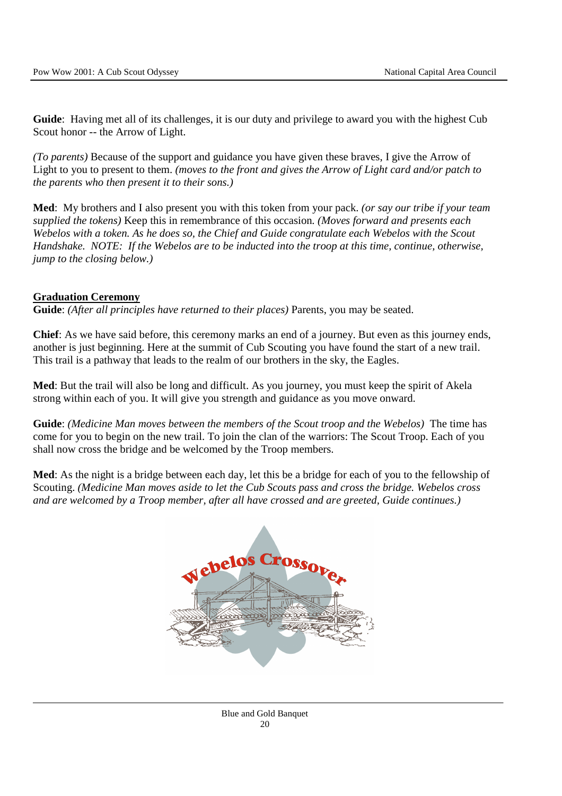**Guide**: Having met all of its challenges, it is our duty and privilege to award you with the highest Cub Scout honor -- the Arrow of Light.

*(To parents)* Because of the support and guidance you have given these braves, I give the Arrow of Light to you to present to them. *(moves to the front and gives the Arrow of Light card and/or patch to the parents who then present it to their sons.)* 

**Med**: My brothers and I also present you with this token from your pack. *(or say our tribe if your team supplied the tokens)* Keep this in remembrance of this occasion*. (Moves forward and presents each Webelos with a token. As he does so, the Chief and Guide congratulate each Webelos with the Scout Handshake. NOTE: If the Webelos are to be inducted into the troop at this time, continue, otherwise, jump to the closing below.)*

### **Graduation Ceremony**

**Guide**: *(After all principles have returned to their places)* Parents, you may be seated.

**Chief**: As we have said before, this ceremony marks an end of a journey. But even as this journey ends, another is just beginning. Here at the summit of Cub Scouting you have found the start of a new trail. This trail is a pathway that leads to the realm of our brothers in the sky, the Eagles.

**Med**: But the trail will also be long and difficult. As you journey, you must keep the spirit of Akela strong within each of you. It will give you strength and guidance as you move onward.

**Guide**: *(Medicine Man moves between the members of the Scout troop and the Webelos)* The time has come for you to begin on the new trail. To join the clan of the warriors: The Scout Troop. Each of you shall now cross the bridge and be welcomed by the Troop members.

**Med**: As the night is a bridge between each day, let this be a bridge for each of you to the fellowship of Scouting. *(Medicine Man moves aside to let the Cub Scouts pass and cross the bridge. Webelos cross and are welcomed by a Troop member, after all have crossed and are greeted, Guide continues.)*



Blue and Gold Banquet 20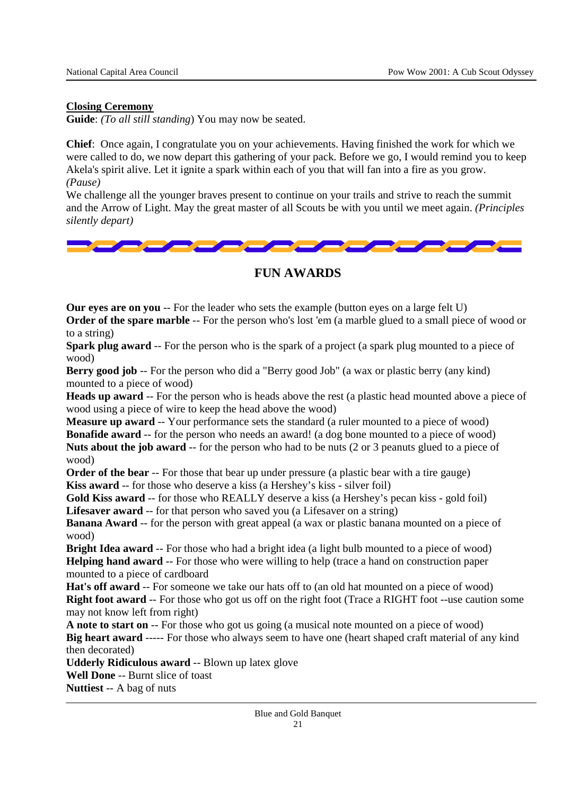### **Closing Ceremony**

**Guide**: *(To all still standing*) You may now be seated.

**Chief**: Once again, I congratulate you on your achievements. Having finished the work for which we were called to do, we now depart this gathering of your pack. Before we go, I would remind you to keep Akela's spirit alive. Let it ignite a spark within each of you that will fan into a fire as you grow. *(Pause)* 

We challenge all the younger braves present to continue on your trails and strive to reach the summit and the Arrow of Light. May the great master of all Scouts be with you until we meet again. *(Principles silently depart)*



### **FUN AWARDS**

**Our eyes are on you** -- For the leader who sets the example (button eyes on a large felt U) **Order of the spare marble** -- For the person who's lost 'em (a marble glued to a small piece of wood or to a string)

**Spark plug award** -- For the person who is the spark of a project (a spark plug mounted to a piece of wood)

**Berry good job** -- For the person who did a "Berry good Job" (a wax or plastic berry (any kind) mounted to a piece of wood)

**Heads up award** -- For the person who is heads above the rest (a plastic head mounted above a piece of wood using a piece of wire to keep the head above the wood)

**Measure up award** -- Your performance sets the standard (a ruler mounted to a piece of wood) **Bonafide award** -- for the person who needs an award! (a dog bone mounted to a piece of wood) **Nuts about the job award** -- for the person who had to be nuts (2 or 3 peanuts glued to a piece of wood)

**Order of the bear** -- For those that bear up under pressure (a plastic bear with a tire gauge) **Kiss award** -- for those who deserve a kiss (a Hershey's kiss - silver foil)

**Gold Kiss award** -- for those who REALLY deserve a kiss (a Hershey's pecan kiss - gold foil) **Lifesaver award** -- for that person who saved you (a Lifesaver on a string)

**Banana Award** -- for the person with great appeal (a wax or plastic banana mounted on a piece of wood)

**Bright Idea award** -- For those who had a bright idea (a light bulb mounted to a piece of wood) **Helping hand award** -- For those who were willing to help (trace a hand on construction paper mounted to a piece of cardboard

**Hat's off award** -- For someone we take our hats off to (an old hat mounted on a piece of wood) **Right foot award** -- For those who got us off on the right foot (Trace a RIGHT foot --use caution some may not know left from right)

**A note to start on** -- For those who got us going (a musical note mounted on a piece of wood) **Big heart award** ----- For those who always seem to have one (heart shaped craft material of any kind then decorated)

**Udderly Ridiculous award** -- Blown up latex glove

**Well Done** -- Burnt slice of toast

**Nuttiest** -- A bag of nuts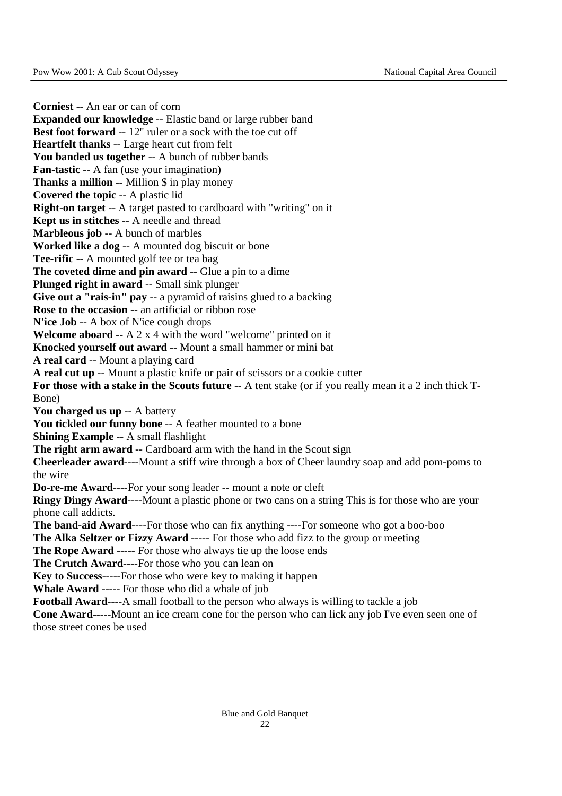**Corniest** -- An ear or can of corn **Expanded our knowledge** -- Elastic band or large rubber band **Best foot forward -- 12" ruler or a sock with the toe cut off Heartfelt thanks** -- Large heart cut from felt You banded us together -- A bunch of rubber bands **Fan-tastic** -- A fan (use your imagination) **Thanks a million** -- Million \$ in play money **Covered the topic** -- A plastic lid **Right-on target** -- A target pasted to cardboard with "writing" on it **Kept us in stitches** -- A needle and thread **Marbleous job** -- A bunch of marbles **Worked like a dog** -- A mounted dog biscuit or bone **Tee-rific** -- A mounted golf tee or tea bag **The coveted dime and pin award** -- Glue a pin to a dime **Plunged right in award** -- Small sink plunger **Give out a "rais-in" pay** -- a pyramid of raisins glued to a backing **Rose to the occasion** -- an artificial or ribbon rose **N'ice Job** -- A box of N'ice cough drops **Welcome aboard** -- A 2 x 4 with the word "welcome" printed on it **Knocked yourself out award** -- Mount a small hammer or mini bat **A real card** -- Mount a playing card **A real cut up** -- Mount a plastic knife or pair of scissors or a cookie cutter For those with a stake in the Scouts future -- A tent stake (or if you really mean it a 2 inch thick T-Bone) **You charged us up** -- A battery **You tickled our funny bone** -- A feather mounted to a bone **Shining Example** -- A small flashlight **The right arm award** -- Cardboard arm with the hand in the Scout sign **Cheerleader award**----Mount a stiff wire through a box of Cheer laundry soap and add pom-poms to the wire **Do-re-me Award**----For your song leader -- mount a note or cleft **Ringy Dingy Award**----Mount a plastic phone or two cans on a string This is for those who are your phone call addicts. **The band-aid Award----**For those who can fix anything ----For someone who got a boo-boo **The Alka Seltzer or Fizzy Award** ----- For those who add fizz to the group or meeting **The Rope Award** ----- For those who always tie up the loose ends **The Crutch Award**----For those who you can lean on **Key to Success**-----For those who were key to making it happen **Whale Award** ----- For those who did a whale of job **Football Award**----A small football to the person who always is willing to tackle a job **Cone Award**-----Mount an ice cream cone for the person who can lick any job I've even seen one of those street cones be used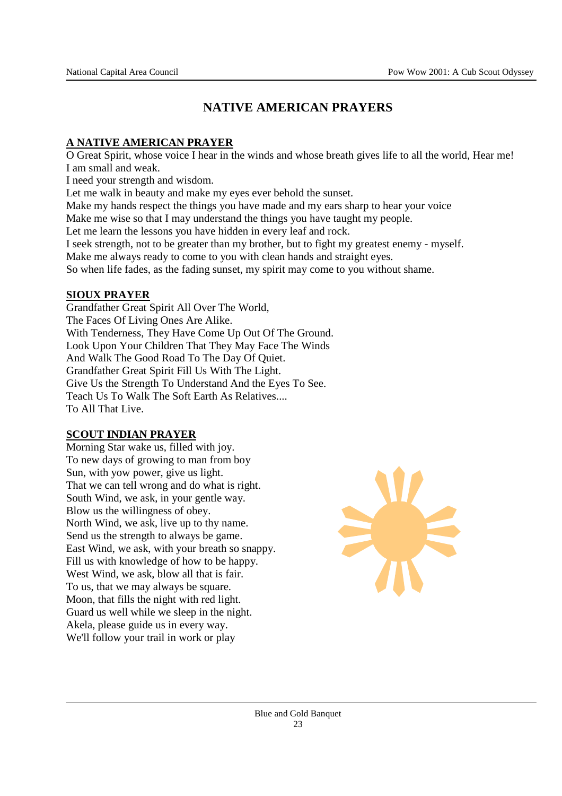# **NATIVE AMERICAN PRAYERS**

### **A NATIVE AMERICAN PRAYER**

O Great Spirit, whose voice I hear in the winds and whose breath gives life to all the world, Hear me! I am small and weak.

I need your strength and wisdom.

Let me walk in beauty and make my eyes ever behold the sunset.

Make my hands respect the things you have made and my ears sharp to hear your voice

Make me wise so that I may understand the things you have taught my people.

Let me learn the lessons you have hidden in every leaf and rock.

I seek strength, not to be greater than my brother, but to fight my greatest enemy - myself.

Make me always ready to come to you with clean hands and straight eyes.

So when life fades, as the fading sunset, my spirit may come to you without shame.

### **SIOUX PRAYER**

Grandfather Great Spirit All Over The World, The Faces Of Living Ones Are Alike. With Tenderness, They Have Come Up Out Of The Ground. Look Upon Your Children That They May Face The Winds And Walk The Good Road To The Day Of Quiet. Grandfather Great Spirit Fill Us With The Light. Give Us the Strength To Understand And the Eyes To See. Teach Us To Walk The Soft Earth As Relatives.... To All That Live.

### **SCOUT INDIAN PRAYER**

Morning Star wake us, filled with joy. To new days of growing to man from boy Sun, with yow power, give us light. That we can tell wrong and do what is right. South Wind, we ask, in your gentle way. Blow us the willingness of obey. North Wind, we ask, live up to thy name. Send us the strength to always be game. East Wind, we ask, with your breath so snappy. Fill us with knowledge of how to be happy. West Wind, we ask, blow all that is fair. To us, that we may always be square. Moon, that fills the night with red light. Guard us well while we sleep in the night. Akela, please guide us in every way. We'll follow your trail in work or play

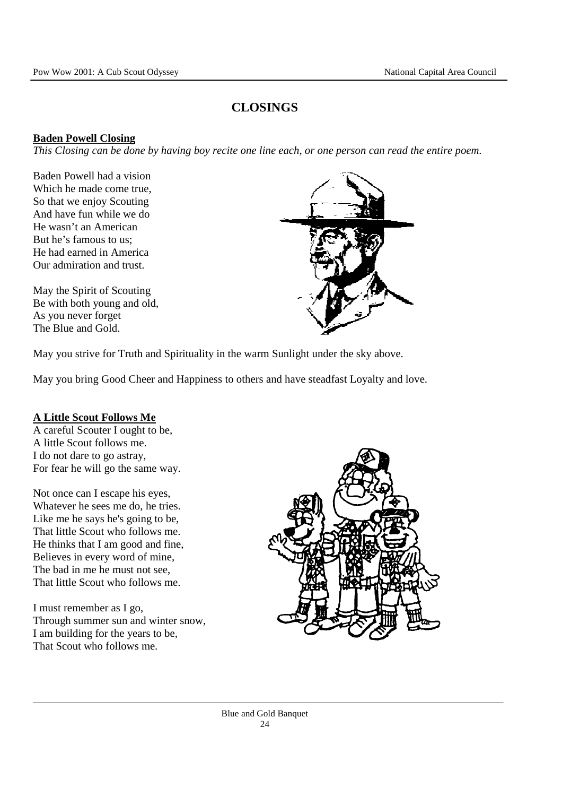# **CLOSINGS**

### **Baden Powell Closing**

*This Closing can be done by having boy recite one line each, or one person can read the entire poem.* 

Baden Powell had a vision Which he made come true, So that we enjoy Scouting And have fun while we do He wasn't an American But he's famous to us; He had earned in America Our admiration and trust.

May the Spirit of Scouting Be with both young and old, As you never forget The Blue and Gold.



May you strive for Truth and Spirituality in the warm Sunlight under the sky above.

May you bring Good Cheer and Happiness to others and have steadfast Loyalty and love.

### **A Little Scout Follows Me**

A careful Scouter I ought to be, A little Scout follows me. I do not dare to go astray, For fear he will go the same way.

Not once can I escape his eyes, Whatever he sees me do, he tries. Like me he says he's going to be, That little Scout who follows me. He thinks that I am good and fine, Believes in every word of mine, The bad in me he must not see, That little Scout who follows me.

I must remember as I go, Through summer sun and winter snow, I am building for the years to be, That Scout who follows me.

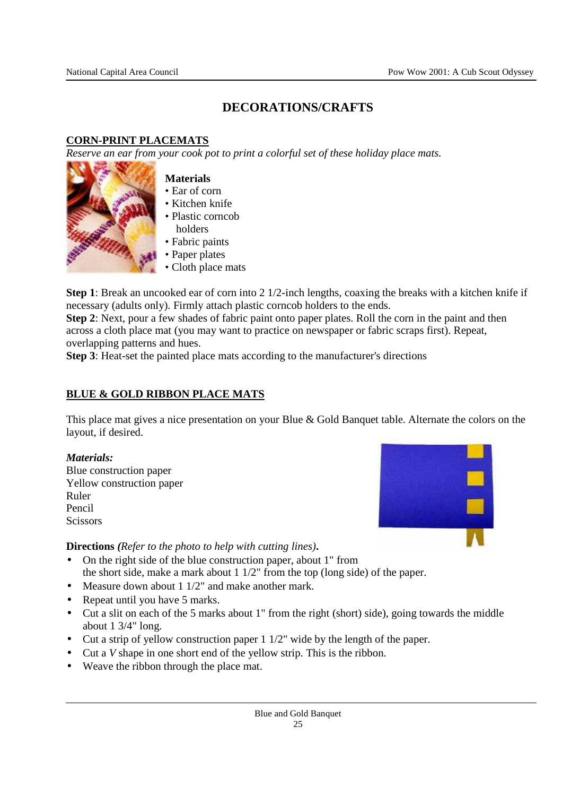# **DECORATIONS/CRAFTS**

### **CORN-PRINT PLACEMATS**

*Reserve an ear from your cook pot to print a colorful set of these holiday place mats.* 



#### **Materials**

- Ear of corn
- Kitchen knife
- Plastic corncob holders
- Fabric paints
- Paper plates
- Cloth place mats

**Step 1**: Break an uncooked ear of corn into 2 1/2-inch lengths, coaxing the breaks with a kitchen knife if necessary (adults only). Firmly attach plastic corncob holders to the ends.

**Step 2**: Next, pour a few shades of fabric paint onto paper plates. Roll the corn in the paint and then across a cloth place mat (you may want to practice on newspaper or fabric scraps first). Repeat, overlapping patterns and hues.

**Step 3**: Heat-set the painted place mats according to the manufacturer's directions

### **BLUE & GOLD RIBBON PLACE MATS**

This place mat gives a nice presentation on your Blue & Gold Banquet table. Alternate the colors on the layout, if desired.

#### *Materials:*

Blue construction paper Yellow construction paper Ruler Pencil **Scissors** 



**Directions** *(Refer to the photo to help with cutting lines)***.**

- On the right side of the blue construction paper, about 1" from the short side, make a mark about 1 1/2" from the top (long side) of the paper.
- Measure down about 1 1/2" and make another mark.
- Repeat until you have 5 marks.
- Cut a slit on each of the 5 marks about 1" from the right (short) side), going towards the middle about 1 3/4" long.
- Cut a strip of yellow construction paper 1 1/2" wide by the length of the paper.
- Cut a *V* shape in one short end of the yellow strip. This is the ribbon.
- Weave the ribbon through the place mat.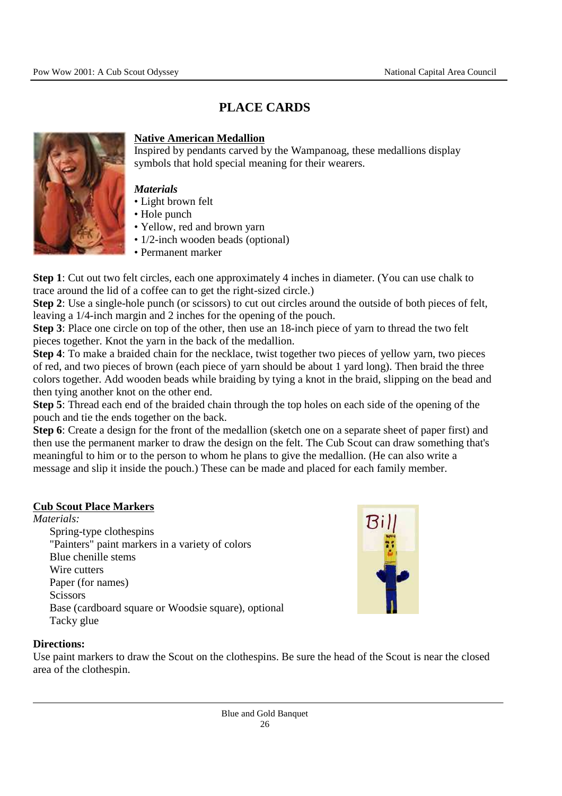# **PLACE CARDS**



#### **Native American Medallion**

Inspired by pendants carved by the Wampanoag, these medallions display symbols that hold special meaning for their wearers.

#### *Materials*

- Light brown felt
- Hole punch
- Yellow, red and brown yarn
- 1/2-inch wooden beads (optional)
- Permanent marker

**Step 1**: Cut out two felt circles, each one approximately 4 inches in diameter. (You can use chalk to trace around the lid of a coffee can to get the right-sized circle.)

**Step 2**: Use a single-hole punch (or scissors) to cut out circles around the outside of both pieces of felt, leaving a 1/4-inch margin and 2 inches for the opening of the pouch.

**Step 3**: Place one circle on top of the other, then use an 18-inch piece of yarn to thread the two felt pieces together. Knot the yarn in the back of the medallion.

**Step 4**: To make a braided chain for the necklace, twist together two pieces of yellow yarn, two pieces of red, and two pieces of brown (each piece of yarn should be about 1 yard long). Then braid the three colors together. Add wooden beads while braiding by tying a knot in the braid, slipping on the bead and then tying another knot on the other end.

**Step 5**: Thread each end of the braided chain through the top holes on each side of the opening of the pouch and tie the ends together on the back.

**Step 6**: Create a design for the front of the medallion (sketch one on a separate sheet of paper first) and then use the permanent marker to draw the design on the felt. The Cub Scout can draw something that's meaningful to him or to the person to whom he plans to give the medallion. (He can also write a message and slip it inside the pouch.) These can be made and placed for each family member.

#### **Cub Scout Place Markers**

#### *Materials:*

 Spring-type clothespins "Painters" paint markers in a variety of colors Blue chenille stems Wire cutters Paper (for names) **Scissors**  Base (cardboard square or Woodsie square), optional Tacky glue



#### **Directions:**

Use paint markers to draw the Scout on the clothespins. Be sure the head of the Scout is near the closed area of the clothespin.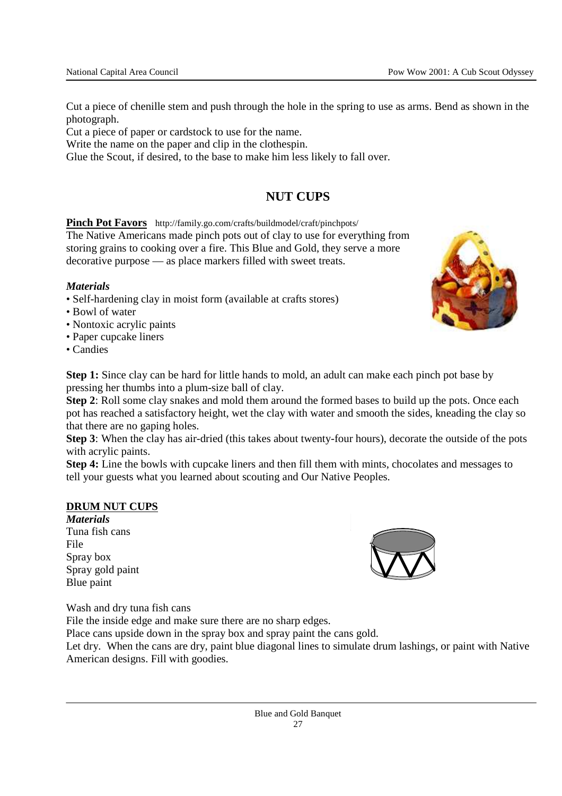Cut a piece of chenille stem and push through the hole in the spring to use as arms. Bend as shown in the photograph.

Cut a piece of paper or cardstock to use for the name.

Write the name on the paper and clip in the clothespin.

Glue the Scout, if desired, to the base to make him less likely to fall over.

# **NUT CUPS**

### **Pinch Pot Favors** http://family.go.com/crafts/buildmodel/craft/pinchpots/

The Native Americans made pinch pots out of clay to use for everything from storing grains to cooking over a fire. This Blue and Gold, they serve a more decorative purpose — as place markers filled with sweet treats.

#### *Materials*

- Self-hardening clay in moist form (available at crafts stores)
- Bowl of water
- Nontoxic acrylic paints
- Paper cupcake liners
- Candies



**Step 1:** Since clay can be hard for little hands to mold, an adult can make each pinch pot base by pressing her thumbs into a plum-size ball of clay.

**Step 2**: Roll some clay snakes and mold them around the formed bases to build up the pots. Once each pot has reached a satisfactory height, wet the clay with water and smooth the sides, kneading the clay so that there are no gaping holes.

**Step 3**: When the clay has air-dried (this takes about twenty-four hours), decorate the outside of the pots with acrylic paints.

**Step 4:** Line the bowls with cupcake liners and then fill them with mints, chocolates and messages to tell your guests what you learned about scouting and Our Native Peoples.

#### **DRUM NUT CUPS**

*Materials*  Tuna fish cans File Spray box Spray gold paint Blue paint



Wash and dry tuna fish cans

File the inside edge and make sure there are no sharp edges.

Place cans upside down in the spray box and spray paint the cans gold.

Let dry. When the cans are dry, paint blue diagonal lines to simulate drum lashings, or paint with Native American designs. Fill with goodies.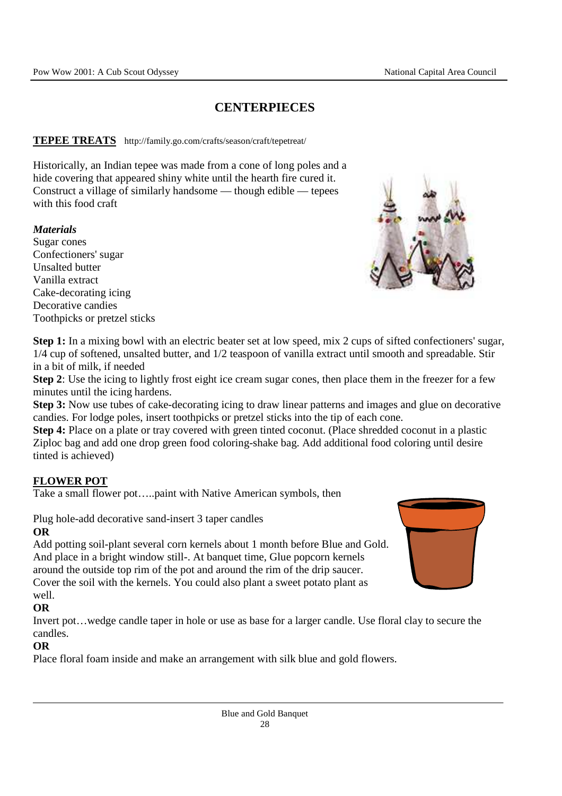# **CENTERPIECES**

#### **TEPEE TREATS** http://family.go.com/crafts/season/craft/tepetreat/

Historically, an Indian tepee was made from a cone of long poles and a hide covering that appeared shiny white until the hearth fire cured it. Construct a village of similarly handsome — though edible — tepees with this food craft

#### *Materials*

Sugar cones Confectioners' sugar Unsalted butter Vanilla extract Cake-decorating icing Decorative candies Toothpicks or pretzel sticks



**Step 1:** In a mixing bowl with an electric beater set at low speed, mix 2 cups of sifted confectioners' sugar, 1/4 cup of softened, unsalted butter, and 1/2 teaspoon of vanilla extract until smooth and spreadable. Stir in a bit of milk, if needed

**Step 2**: Use the icing to lightly frost eight ice cream sugar cones, then place them in the freezer for a few minutes until the icing hardens.

**Step 3:** Now use tubes of cake-decorating icing to draw linear patterns and images and glue on decorative candies. For lodge poles, insert toothpicks or pretzel sticks into the tip of each cone.

**Step 4:** Place on a plate or tray covered with green tinted coconut. (Place shredded coconut in a plastic Ziploc bag and add one drop green food coloring-shake bag. Add additional food coloring until desire tinted is achieved)

#### **FLOWER POT**

Take a small flower pot…..paint with Native American symbols, then

Plug hole-add decorative sand-insert 3 taper candles

### **OR**

Add potting soil-plant several corn kernels about 1 month before Blue and Gold. And place in a bright window still-. At banquet time, Glue popcorn kernels around the outside top rim of the pot and around the rim of the drip saucer. Cover the soil with the kernels. You could also plant a sweet potato plant as well.



## **OR**

Invert pot…wedge candle taper in hole or use as base for a larger candle. Use floral clay to secure the candles.

#### **OR**

Place floral foam inside and make an arrangement with silk blue and gold flowers.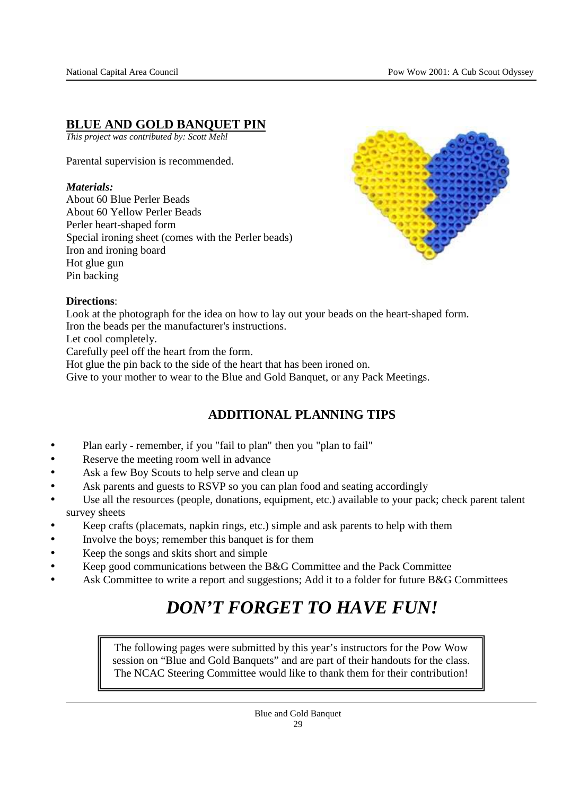# **BLUE AND GOLD BANQUET PIN**

*This project was contributed by: Scott Mehl* 

Parental supervision is recommended.

#### *Materials:*

About 60 Blue Perler Beads About 60 Yellow Perler Beads Perler heart-shaped form Special ironing sheet (comes with the Perler beads) Iron and ironing board Hot glue gun Pin backing



#### **Directions**:

Look at the photograph for the idea on how to lay out your beads on the heart-shaped form. Iron the beads per the manufacturer's instructions.

Let cool completely.

Carefully peel off the heart from the form.

Hot glue the pin back to the side of the heart that has been ironed on.

Give to your mother to wear to the Blue and Gold Banquet, or any Pack Meetings.

# **ADDITIONAL PLANNING TIPS**

- Plan early remember, if you "fail to plan" then you "plan to fail"
- Reserve the meeting room well in advance
- Ask a few Boy Scouts to help serve and clean up
- Ask parents and guests to RSVP so you can plan food and seating accordingly
- Use all the resources (people, donations, equipment, etc.) available to your pack; check parent talent survey sheets
- Keep crafts (placemats, napkin rings, etc.) simple and ask parents to help with them
- Involve the boys; remember this banquet is for them
- Keep the songs and skits short and simple
- Keep good communications between the B&G Committee and the Pack Committee
- Ask Committee to write a report and suggestions; Add it to a folder for future B&G Committees

# *DON'T FORGET TO HAVE FUN!*

The following pages were submitted by this year's instructors for the Pow Wow session on "Blue and Gold Banquets" and are part of their handouts for the class. The NCAC Steering Committee would like to thank them for their contribution!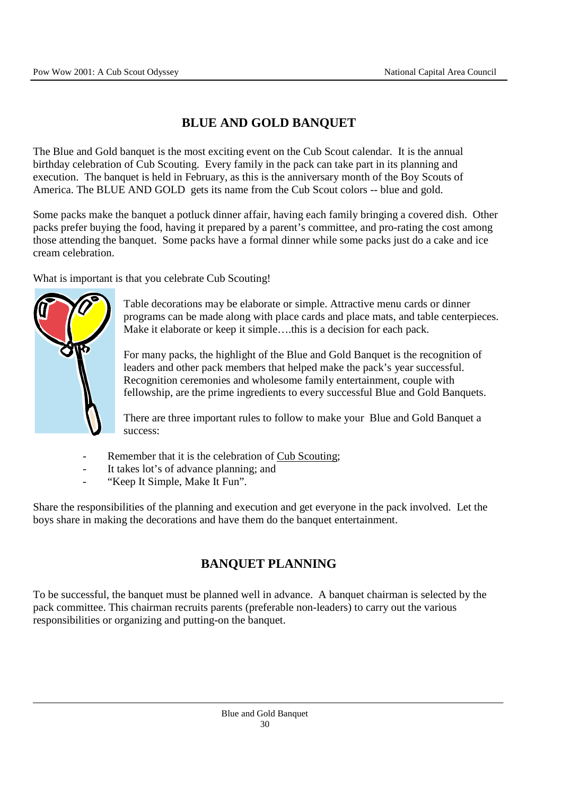# **BLUE AND GOLD BANQUET**

The Blue and Gold banquet is the most exciting event on the Cub Scout calendar. It is the annual birthday celebration of Cub Scouting. Every family in the pack can take part in its planning and execution. The banquet is held in February, as this is the anniversary month of the Boy Scouts of America. The BLUE AND GOLD gets its name from the Cub Scout colors -- blue and gold.

Some packs make the banquet a potluck dinner affair, having each family bringing a covered dish. Other packs prefer buying the food, having it prepared by a parent's committee, and pro-rating the cost among those attending the banquet. Some packs have a formal dinner while some packs just do a cake and ice cream celebration.

What is important is that you celebrate Cub Scouting!



Table decorations may be elaborate or simple. Attractive menu cards or dinner programs can be made along with place cards and place mats, and table centerpieces. Make it elaborate or keep it simple….this is a decision for each pack.

For many packs, the highlight of the Blue and Gold Banquet is the recognition of leaders and other pack members that helped make the pack's year successful. Recognition ceremonies and wholesome family entertainment, couple with fellowship, are the prime ingredients to every successful Blue and Gold Banquets.

There are three important rules to follow to make your Blue and Gold Banquet a success:

- Remember that it is the celebration of Cub Scouting;
- It takes lot's of advance planning; and
- "Keep It Simple, Make It Fun".

Share the responsibilities of the planning and execution and get everyone in the pack involved. Let the boys share in making the decorations and have them do the banquet entertainment.

# **BANQUET PLANNING**

To be successful, the banquet must be planned well in advance. A banquet chairman is selected by the pack committee. This chairman recruits parents (preferable non-leaders) to carry out the various responsibilities or organizing and putting-on the banquet.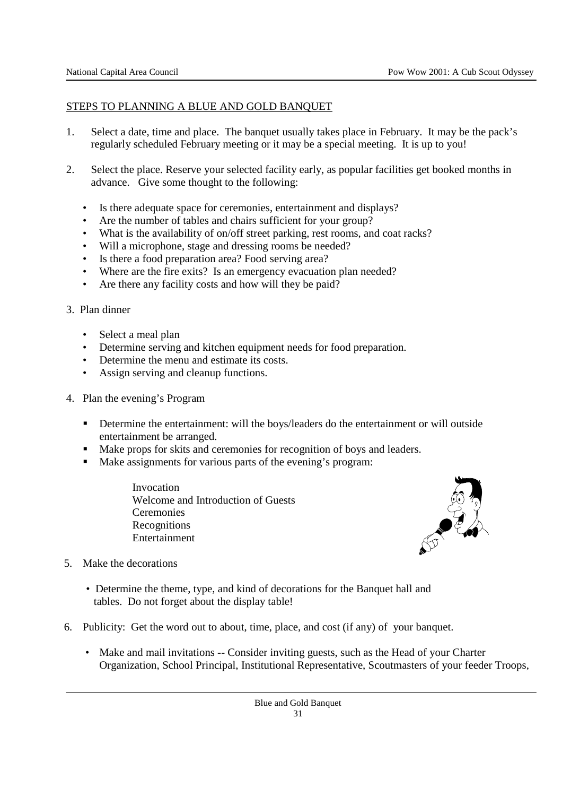### STEPS TO PLANNING A BLUE AND GOLD BANQUET

- 1. Select a date, time and place. The banquet usually takes place in February. It may be the pack's regularly scheduled February meeting or it may be a special meeting. It is up to you!
- 2. Select the place. Reserve your selected facility early, as popular facilities get booked months in advance. Give some thought to the following:
	- Is there adequate space for ceremonies, entertainment and displays?
	- Are the number of tables and chairs sufficient for your group?
	- What is the availability of on/off street parking, rest rooms, and coat racks?
	- Will a microphone, stage and dressing rooms be needed?
	- Is there a food preparation area? Food serving area?
	- Where are the fire exits? Is an emergency evacuation plan needed?
	- Are there any facility costs and how will they be paid?
- 3. Plan dinner
	- Select a meal plan
	- Determine serving and kitchen equipment needs for food preparation.
	- Determine the menu and estimate its costs.
	- Assign serving and cleanup functions.
- 4. Plan the evening's Program
	- **•** Determine the entertainment: will the boys/leaders do the entertainment or will outside entertainment be arranged.
	- Make props for skits and ceremonies for recognition of boys and leaders.
	- Make assignments for various parts of the evening's program:

Invocation Welcome and Introduction of Guests **Ceremonies Recognitions** Entertainment



- 5. Make the decorations
	- Determine the theme, type, and kind of decorations for the Banquet hall and tables. Do not forget about the display table!
- 6. Publicity: Get the word out to about, time, place, and cost (if any) of your banquet.
	- Make and mail invitations -- Consider inviting guests, such as the Head of your Charter Organization, School Principal, Institutional Representative, Scoutmasters of your feeder Troops,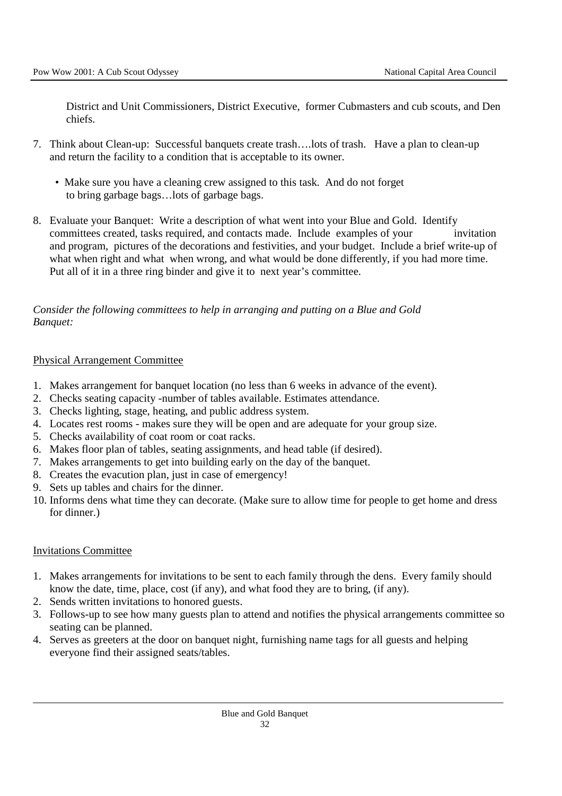District and Unit Commissioners, District Executive, former Cubmasters and cub scouts, and Den chiefs.

- 7. Think about Clean-up: Successful banquets create trash….lots of trash. Have a plan to clean-up and return the facility to a condition that is acceptable to its owner.
	- Make sure you have a cleaning crew assigned to this task. And do not forget to bring garbage bags…lots of garbage bags.
- 8. Evaluate your Banquet: Write a description of what went into your Blue and Gold. Identify committees created, tasks required, and contacts made. Include examples of your invitation and program, pictures of the decorations and festivities, and your budget. Include a brief write-up of what when right and what when wrong, and what would be done differently, if you had more time. Put all of it in a three ring binder and give it to next year's committee.

### *Consider the following committees to help in arranging and putting on a Blue and Gold Banquet:*

### Physical Arrangement Committee

- 1. Makes arrangement for banquet location (no less than 6 weeks in advance of the event).
- 2. Checks seating capacity -number of tables available. Estimates attendance.
- 3. Checks lighting, stage, heating, and public address system.
- 4. Locates rest rooms makes sure they will be open and are adequate for your group size.
- 5. Checks availability of coat room or coat racks.
- 6. Makes floor plan of tables, seating assignments, and head table (if desired).
- 7. Makes arrangements to get into building early on the day of the banquet.
- 8. Creates the evacution plan, just in case of emergency!
- 9. Sets up tables and chairs for the dinner.
- 10. Informs dens what time they can decorate. (Make sure to allow time for people to get home and dress for dinner.)

### Invitations Committee

- 1. Makes arrangements for invitations to be sent to each family through the dens. Every family should know the date, time, place, cost (if any), and what food they are to bring, (if any).
- 2. Sends written invitations to honored guests.
- 3. Follows-up to see how many guests plan to attend and notifies the physical arrangements committee so seating can be planned.
- 4. Serves as greeters at the door on banquet night, furnishing name tags for all guests and helping everyone find their assigned seats/tables.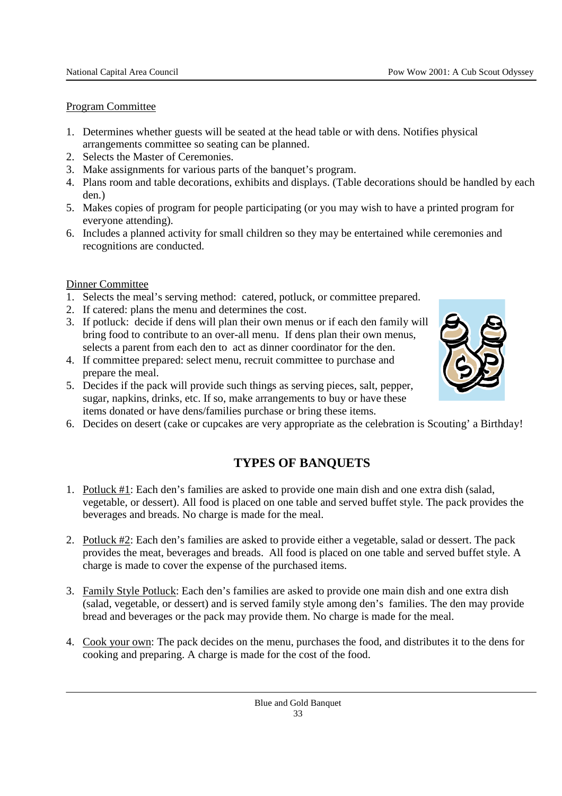### Program Committee

- 1. Determines whether guests will be seated at the head table or with dens. Notifies physical arrangements committee so seating can be planned.
- 2. Selects the Master of Ceremonies.
- 3. Make assignments for various parts of the banquet's program.
- 4. Plans room and table decorations, exhibits and displays. (Table decorations should be handled by each den.)
- 5. Makes copies of program for people participating (or you may wish to have a printed program for everyone attending).
- 6. Includes a planned activity for small children so they may be entertained while ceremonies and recognitions are conducted.

### Dinner Committee

- 1. Selects the meal's serving method: catered, potluck, or committee prepared.
- 2. If catered: plans the menu and determines the cost.
- 3. If potluck: decide if dens will plan their own menus or if each den family will bring food to contribute to an over-all menu. If dens plan their own menus, selects a parent from each den to act as dinner coordinator for the den.
- 4. If committee prepared: select menu, recruit committee to purchase and prepare the meal.
- 5. Decides if the pack will provide such things as serving pieces, salt, pepper, sugar, napkins, drinks, etc. If so, make arrangements to buy or have these items donated or have dens/families purchase or bring these items.
- 6. Decides on desert (cake or cupcakes are very appropriate as the celebration is Scouting' a Birthday!

# **TYPES OF BANQUETS**

- 1. Potluck #1: Each den's families are asked to provide one main dish and one extra dish (salad, vegetable, or dessert). All food is placed on one table and served buffet style. The pack provides the beverages and breads. No charge is made for the meal.
- 2. Potluck #2: Each den's families are asked to provide either a vegetable, salad or dessert. The pack provides the meat, beverages and breads. All food is placed on one table and served buffet style. A charge is made to cover the expense of the purchased items.
- 3. Family Style Potluck: Each den's families are asked to provide one main dish and one extra dish (salad, vegetable, or dessert) and is served family style among den's families. The den may provide bread and beverages or the pack may provide them. No charge is made for the meal.
- 4. Cook your own: The pack decides on the menu, purchases the food, and distributes it to the dens for cooking and preparing. A charge is made for the cost of the food.

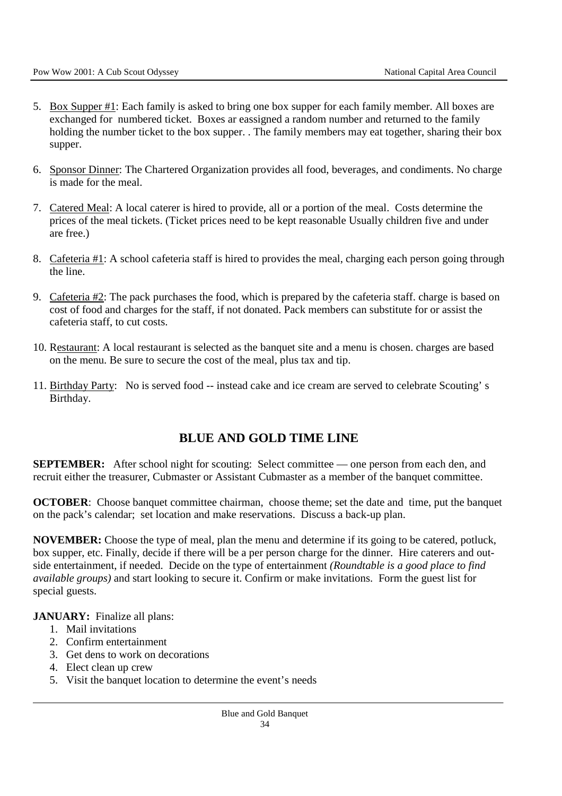- 5. Box Supper #1: Each family is asked to bring one box supper for each family member. All boxes are exchanged for numbered ticket. Boxes ar eassigned a random number and returned to the family holding the number ticket to the box supper. . The family members may eat together, sharing their box supper.
- 6. Sponsor Dinner: The Chartered Organization provides all food, beverages, and condiments. No charge is made for the meal.
- 7. Catered Meal: A local caterer is hired to provide, all or a portion of the meal. Costs determine the prices of the meal tickets. (Ticket prices need to be kept reasonable Usually children five and under are free.)
- 8. Cafeteria #1: A school cafeteria staff is hired to provides the meal, charging each person going through the line.
- 9. Cafeteria #2: The pack purchases the food, which is prepared by the cafeteria staff. charge is based on cost of food and charges for the staff, if not donated. Pack members can substitute for or assist the cafeteria staff, to cut costs.
- 10. Restaurant: A local restaurant is selected as the banquet site and a menu is chosen. charges are based on the menu. Be sure to secure the cost of the meal, plus tax and tip.
- 11. Birthday Party: No is served food -- instead cake and ice cream are served to celebrate Scouting' s Birthday.

### **BLUE AND GOLD TIME LINE**

**SEPTEMBER:** After school night for scouting: Select committee — one person from each den, and recruit either the treasurer, Cubmaster or Assistant Cubmaster as a member of the banquet committee.

**OCTOBER**: Choose banquet committee chairman, choose theme; set the date and time, put the banquet on the pack's calendar; set location and make reservations. Discuss a back-up plan.

**NOVEMBER:** Choose the type of meal, plan the menu and determine if its going to be catered, potluck, box supper, etc. Finally, decide if there will be a per person charge for the dinner. Hire caterers and outside entertainment, if needed. Decide on the type of entertainment *(Roundtable is a good place to find available groups)* and start looking to secure it. Confirm or make invitations. Form the guest list for special guests.

**JANUARY:** Finalize all plans:

- 1. Mail invitations
- 2. Confirm entertainment
- 3. Get dens to work on decorations
- 4. Elect clean up crew
- 5. Visit the banquet location to determine the event's needs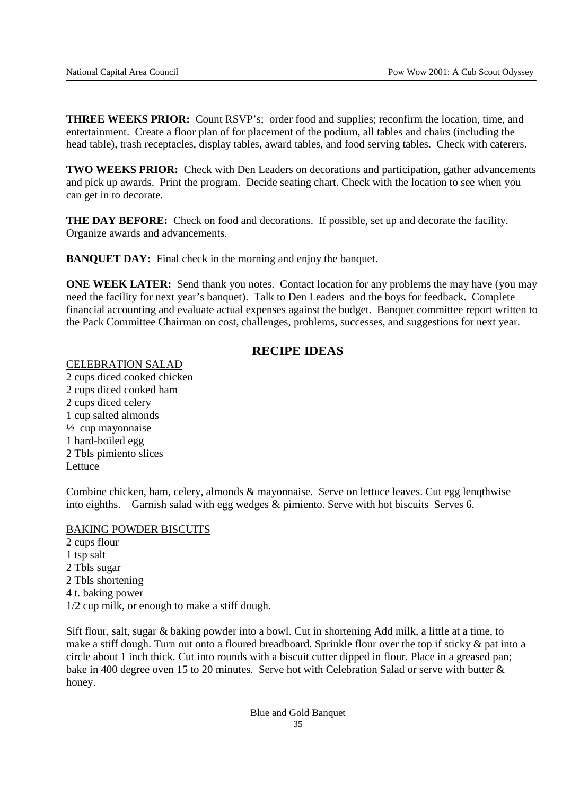**THREE WEEKS PRIOR:** Count RSVP's; order food and supplies; reconfirm the location, time, and entertainment. Create a floor plan of for placement of the podium, all tables and chairs (including the head table), trash receptacles, display tables, award tables, and food serving tables. Check with caterers.

**TWO WEEKS PRIOR:** Check with Den Leaders on decorations and participation, gather advancements and pick up awards. Print the program. Decide seating chart. Check with the location to see when you can get in to decorate.

**THE DAY BEFORE:** Check on food and decorations. If possible, set up and decorate the facility. Organize awards and advancements.

**BANQUET DAY:** Final check in the morning and enjoy the banquet.

**ONE WEEK LATER:** Send thank you notes. Contact location for any problems the may have (you may need the facility for next year's banquet). Talk to Den Leaders and the boys for feedback. Complete financial accounting and evaluate actual expenses against the budget. Banquet committee report written to the Pack Committee Chairman on cost, challenges, problems, successes, and suggestions for next year.

# **RECIPE IDEAS**

CELEBRATION SALAD

2 cups diced cooked chicken 2 cups diced cooked ham 2 cups diced celery 1 cup salted almonds ½ cup mayonnaise 1 hard-boiled egg 2 Tbls pimiento slices Lettuce

Combine chicken, ham, celery, almonds & mayonnaise. Serve on lettuce leaves. Cut egg lenqthwise into eighths. Garnish salad with egg wedges & pimiento. Serve with hot biscuits Serves 6.

#### BAKING POWDER BISCUITS

2 cups flour 1 tsp salt 2 Tbls sugar 2 Tbls shortening 4 t. baking power 1/2 cup milk, or enough to make a stiff dough.

Sift flour, salt, sugar & baking powder into a bowl. Cut in shortening Add milk, a little at a time, to make a stiff dough. Turn out onto a floured breadboard. Sprinkle flour over the top if sticky & pat into a circle about 1 inch thick. Cut into rounds with a biscuit cutter dipped in flour. Place in a greased pan; bake in 400 degree oven 15 to 20 minutes. Serve hot with Celebration Salad or serve with butter & honey.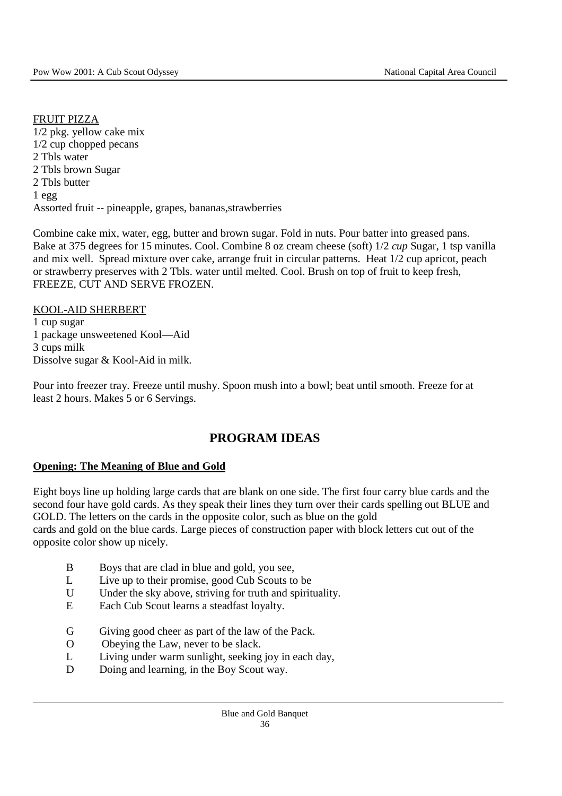#### FRUIT PIZZA

1/2 pkg. yellow cake mix 1/2 cup chopped pecans 2 Tbls water 2 Tbls brown Sugar 2 Tbls butter 1 egg Assorted fruit -- pineapple, grapes, bananas,strawberries

Combine cake mix, water, egg, butter and brown sugar. Fold in nuts. Pour batter into greased pans. Bake at 375 degrees for 15 minutes. Cool. Combine 8 oz cream cheese (soft) 1/2 *cup* Sugar, 1 tsp vanilla and mix well. Spread mixture over cake, arrange fruit in circular patterns. Heat 1/2 cup apricot, peach or strawberry preserves with 2 Tbls. water until melted. Cool. Brush on top of fruit to keep fresh, FREEZE, CUT AND SERVE FROZEN.

### KOOL-AID SHERBERT

1 cup sugar 1 package unsweetened Kool—Aid 3 cups milk Dissolve sugar & Kool-Aid in milk.

Pour into freezer tray. Freeze until mushy. Spoon mush into a bowl; beat until smooth. Freeze for at least 2 hours. Makes 5 or 6 Servings.

### **PROGRAM IDEAS**

#### **Opening: The Meaning of Blue and Gold**

Eight boys line up holding large cards that are blank on one side. The first four carry blue cards and the second four have gold cards. As they speak their lines they turn over their cards spelling out BLUE and GOLD. The letters on the cards in the opposite color, such as blue on the gold cards and gold on the blue cards. Large pieces of construction paper with block letters cut out of the opposite color show up nicely.

- B Boys that are clad in blue and gold, you see,
- L Live up to their promise, good Cub Scouts to be
- U Under the sky above, striving for truth and spirituality.
- E Each Cub Scout learns a steadfast loyalty.
- G Giving good cheer as part of the law of the Pack.
- O Obeying the Law, never to be slack.
- L Living under warm sunlight, seeking joy in each day,
- D Doing and learning, in the Boy Scout way.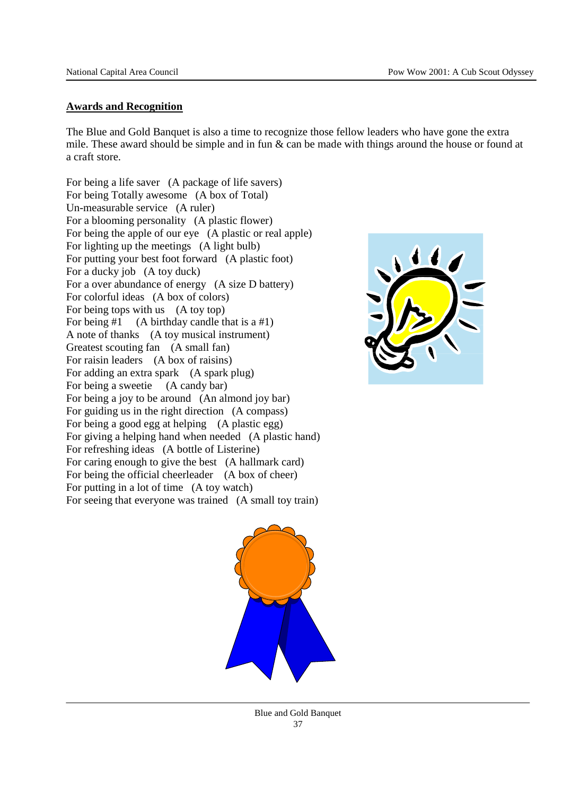#### **Awards and Recognition**

The Blue and Gold Banquet is also a time to recognize those fellow leaders who have gone the extra mile. These award should be simple and in fun & can be made with things around the house or found at a craft store.

For being a life saver (A package of life savers) For being Totally awesome (A box of Total) Un-measurable service (A ruler) For a blooming personality (A plastic flower) For being the apple of our eye (A plastic or real apple) For lighting up the meetings (A light bulb) For putting your best foot forward (A plastic foot) For a ducky job (A toy duck) For a over abundance of energy (A size D battery) For colorful ideas (A box of colors) For being tops with us (A toy top) For being  $#1$  (A birthday candle that is a  $#1$ ) A note of thanks (A toy musical instrument) Greatest scouting fan (A small fan) For raisin leaders (A box of raisins) For adding an extra spark (A spark plug) For being a sweetie (A candy bar) For being a joy to be around (An almond joy bar) For guiding us in the right direction (A compass) For being a good egg at helping (A plastic egg) For giving a helping hand when needed (A plastic hand) For refreshing ideas (A bottle of Listerine) For caring enough to give the best (A hallmark card) For being the official cheerleader (A box of cheer) For putting in a lot of time (A toy watch) For seeing that everyone was trained (A small toy train)





Blue and Gold Banquet 37